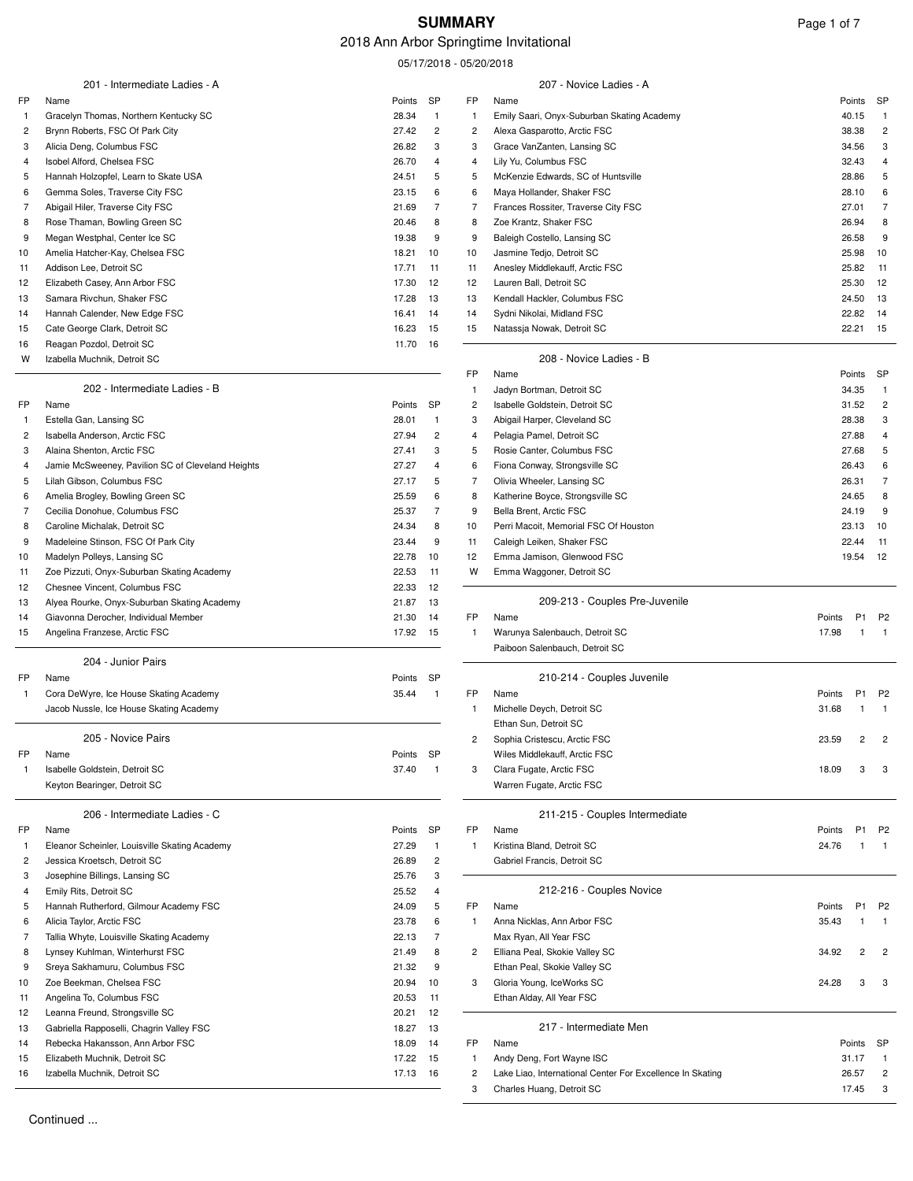# 2018 Ann Arbor Springtime Invitational

05/17/2018 - 05/20/2018

|                              | 201 - Intermediate Ladies - A                         |                 |                |                | 207 - Novice Ladies - A                                   |        |                |                |
|------------------------------|-------------------------------------------------------|-----------------|----------------|----------------|-----------------------------------------------------------|--------|----------------|----------------|
| FP                           | Name                                                  | Points          | SP             | FP             | Name                                                      | Points |                | SP             |
| $\mathbf{1}$                 | Gracelyn Thomas, Northern Kentucky SC                 | 28.34           | $\mathbf{1}$   | $\mathbf{1}$   | Emily Saari, Onyx-Suburban Skating Academy                | 40.15  |                | $\mathbf{1}$   |
| $\overline{c}$               | Brynn Roberts, FSC Of Park City                       | 27.42           | 2              | $\overline{c}$ | Alexa Gasparotto, Arctic FSC                              | 38.38  |                | $\overline{c}$ |
| 3                            | Alicia Deng, Columbus FSC                             | 26.82           | 3              | 3              | Grace VanZanten, Lansing SC                               | 34.56  |                | 3              |
| 4                            | Isobel Alford, Chelsea FSC                            | 26.70           | 4              | 4              | Lily Yu, Columbus FSC                                     | 32.43  |                | 4              |
| 5                            | Hannah Holzopfel, Learn to Skate USA                  | 24.51           | 5              | 5              | McKenzie Edwards, SC of Huntsville                        | 28.86  |                | 5              |
| 6                            | Gemma Soles, Traverse City FSC                        | 23.15           | 6              | 6              | Maya Hollander, Shaker FSC                                | 28.10  |                | 6              |
| 7                            | Abigail Hiler, Traverse City FSC                      | 21.69           | $\overline{7}$ | 7              | Frances Rossiter, Traverse City FSC                       | 27.01  |                | 7              |
| 8                            | Rose Thaman, Bowling Green SC                         | 20.46           | 8              | 8              | Zoe Krantz, Shaker FSC                                    | 26.94  |                | 8              |
| 9                            | Megan Westphal, Center Ice SC                         | 19.38           | 9              | 9              | Baleigh Costello, Lansing SC                              | 26.58  |                | 9              |
| 10                           | Amelia Hatcher-Kay, Chelsea FSC                       | 18.21           | 10             | 10             | Jasmine Tedjo, Detroit SC                                 | 25.98  |                | 10             |
| 11                           | Addison Lee, Detroit SC                               | 17.71           | 11             | 11             | Anesley Middlekauff, Arctic FSC                           | 25.82  |                | 11             |
| 12                           | Elizabeth Casey, Ann Arbor FSC                        | 17.30           | 12             | 12             | Lauren Ball, Detroit SC                                   | 25.30  |                | 12             |
| 13                           | Samara Rivchun, Shaker FSC                            | 17.28           | 13             | 13             | Kendall Hackler, Columbus FSC                             | 24.50  |                | 13             |
| 14                           | Hannah Calender, New Edge FSC                         | 16.41           | 14             | 14             | Sydni Nikolai, Midland FSC                                | 22.82  |                | 14             |
| 15                           | Cate George Clark, Detroit SC                         | 16.23           | 15             | 15             | Natassja Nowak, Detroit SC                                | 22.21  |                | 15             |
| 16                           | Reagan Pozdol, Detroit SC                             | 11.70           | 16             |                |                                                           |        |                |                |
| W                            | Izabella Muchnik, Detroit SC                          |                 |                |                | 208 - Novice Ladies - B                                   |        |                |                |
|                              |                                                       |                 |                | FP             | Name                                                      | Points |                | SP             |
|                              | 202 - Intermediate Ladies - B                         |                 |                | -1             | Jadyn Bortman, Detroit SC                                 | 34.35  |                | $\overline{1}$ |
| FP                           | Name                                                  | Points          | SP             | $\overline{c}$ | Isabelle Goldstein, Detroit SC                            | 31.52  |                | $\overline{c}$ |
| $\mathbf{1}$                 | Estella Gan, Lansing SC                               | 28.01           | $\overline{1}$ | 3              | Abigail Harper, Cleveland SC                              | 28.38  |                | 3              |
| $\overline{c}$               | Isabella Anderson, Arctic FSC                         | 27.94           | $\overline{c}$ | 4              | Pelagia Pamel, Detroit SC                                 | 27.88  |                | 4              |
| 3                            | Alaina Shenton, Arctic FSC                            | 27.41           | 3              | 5              | Rosie Canter, Columbus FSC                                | 27.68  |                | 5              |
| 4                            | Jamie McSweeney, Pavilion SC of Cleveland Heights     | 27.27           | $\overline{4}$ | 6              | Fiona Conway, Strongsville SC                             | 26.43  |                | 6              |
| 5                            | Lilah Gibson, Columbus FSC                            | 27.17           | 5              | $\overline{7}$ | Olivia Wheeler, Lansing SC                                | 26.31  |                | 7              |
| 6                            | Amelia Brogley, Bowling Green SC                      | 25.59           | 6              | 8              | Katherine Boyce, Strongsville SC                          | 24.65  |                | 8              |
| 7                            | Cecilia Donohue, Columbus FSC                         | 25.37           | $\overline{7}$ | 9              | Bella Brent, Arctic FSC                                   | 24.19  |                | 9              |
| 8                            | Caroline Michalak, Detroit SC                         | 24.34           | 8              | 10             | Perri Macoit, Memorial FSC Of Houston                     | 23.13  |                | 10             |
| 9                            | Madeleine Stinson, FSC Of Park City                   | 23.44           | 9              | 11             | Caleigh Leiken, Shaker FSC                                | 22.44  |                | 11             |
| 10                           | Madelyn Polleys, Lansing SC                           | 22.78           | 10             | 12             | Emma Jamison, Glenwood FSC                                | 19.54  |                | 12             |
| 11                           | Zoe Pizzuti, Onyx-Suburban Skating Academy            | 22.53           | 11             | W              | Emma Waggoner, Detroit SC                                 |        |                |                |
| 12                           | Chesnee Vincent, Columbus FSC                         | 22.33           | 12             |                |                                                           |        |                |                |
| 13                           | Alyea Rourke, Onyx-Suburban Skating Academy           | 21.87           | 13             |                | 209-213 - Couples Pre-Juvenile                            |        |                |                |
| 14                           | Giavonna Derocher, Individual Member                  | 21.30           | 14             | FP             | Name                                                      | Points | P <sub>1</sub> | P <sub>2</sub> |
| 15                           | Angelina Franzese, Arctic FSC                         | 17.92           | 15             | $\mathbf{1}$   | Warunya Salenbauch, Detroit SC                            | 17.98  | -1             | $\overline{1}$ |
|                              |                                                       |                 |                |                | Paiboon Salenbauch, Detroit SC                            |        |                |                |
|                              | 204 - Junior Pairs                                    |                 |                |                |                                                           |        |                |                |
| FP                           | Name                                                  | Points          | SP             |                | 210-214 - Couples Juvenile                                |        |                |                |
| $\mathbf{1}$                 | Cora DeWyre, Ice House Skating Academy                | 35.44           | $\overline{1}$ | FP             | Name                                                      | Points | P <sub>1</sub> | P <sub>2</sub> |
|                              | Jacob Nussle, Ice House Skating Academy               |                 |                | -1             | Michelle Deych, Detroit SC                                | 31.68  | -1             | $\overline{1}$ |
|                              |                                                       |                 |                |                | Ethan Sun, Detroit SC                                     |        |                |                |
|                              | 205 - Novice Pairs                                    |                 |                | 2              | Sophia Cristescu, Arctic FSC                              | 23.59  |                |                |
| FP                           | Name                                                  | Points          | SP             |                | Wiles Middlekauff, Arctic FSC                             |        |                |                |
| -1                           | Isabelle Goldstein, Detroit SC                        | 37.40           | -1             | 3              | Clara Fugate, Arctic FSC                                  | 18.09  | 3              | 3              |
|                              | Keyton Bearinger, Detroit SC                          |                 |                |                | Warren Fugate, Arctic FSC                                 |        |                |                |
|                              | 206 - Intermediate Ladies - C                         |                 |                |                | 211-215 - Couples Intermediate                            |        |                |                |
| FP                           |                                                       |                 | SP             | FP             |                                                           | Points | P <sub>1</sub> | P <sub>2</sub> |
|                              | Name<br>Eleanor Scheinler, Louisville Skating Academy | Points<br>27.29 | $\overline{1}$ |                | Name<br>Kristina Bland, Detroit SC                        |        | -1             | $\overline{1}$ |
| $\mathbf{1}$                 | Jessica Kroetsch, Detroit SC                          |                 | $\overline{c}$ | $\mathbf{1}$   | Gabriel Francis, Detroit SC                               | 24.76  |                |                |
| $\overline{\mathbf{c}}$<br>3 |                                                       | 26.89           | 3              |                |                                                           |        |                |                |
|                              | Josephine Billings, Lansing SC                        | 25.76           |                |                |                                                           |        |                |                |
| 4                            | Emily Rits, Detroit SC                                | 25.52           | 4              |                | 212-216 - Couples Novice                                  |        | P <sub>1</sub> |                |
| 5                            | Hannah Rutherford, Gilmour Academy FSC                | 24.09           | 5              | FP             | Name<br>Anna Nicklas, Ann Arbor FSC                       | Points |                | P <sub>2</sub> |
| 6                            | Alicia Taylor, Arctic FSC                             | 23.78           | 6              | $\mathbf{1}$   |                                                           | 35.43  |                | $\mathbf{1}$   |
| 7                            | Tallia Whyte, Louisville Skating Academy              | 22.13           | 7              |                | Max Ryan, All Year FSC                                    |        |                |                |
| 8                            | Lynsey Kuhlman, Winterhurst FSC                       | 21.49           | 8              | 2              | Elliana Peal, Skokie Valley SC                            | 34.92  | $\overline{c}$ | 2              |
| 9                            | Sreya Sakhamuru, Columbus FSC                         | 21.32           | 9              |                | Ethan Peal, Skokie Valley SC                              |        |                |                |
| 10                           | Zoe Beekman, Chelsea FSC                              | 20.94           | 10             | 3              | Gloria Young, IceWorks SC                                 | 24.28  | 3              | 3              |
| 11                           | Angelina To, Columbus FSC                             | 20.53           | 11             |                | Ethan Alday, All Year FSC                                 |        |                |                |
| 12                           | Leanna Freund, Strongsville SC                        | 20.21           | 12             |                |                                                           |        |                |                |
| 13                           | Gabriella Rapposelli, Chagrin Valley FSC              | 18.27           | 13             |                | 217 - Intermediate Men                                    |        |                |                |
| 14                           | Rebecka Hakansson, Ann Arbor FSC                      | 18.09           | 14             | FP             | Name                                                      | Points |                | SP             |
| 15                           | Elizabeth Muchnik, Detroit SC                         | 17.22           | 15             | $\mathbf{1}$   | Andy Deng, Fort Wayne ISC                                 | 31.17  |                | $\mathbf{1}$   |
| 16                           | Izabella Muchnik, Detroit SC                          | 17.13           | 16             | $\overline{c}$ | Lake Liao, International Center For Excellence In Skating | 26.57  |                | 2              |
|                              |                                                       |                 |                | 3              | Charles Huang, Detroit SC                                 | 17.45  |                | 3              |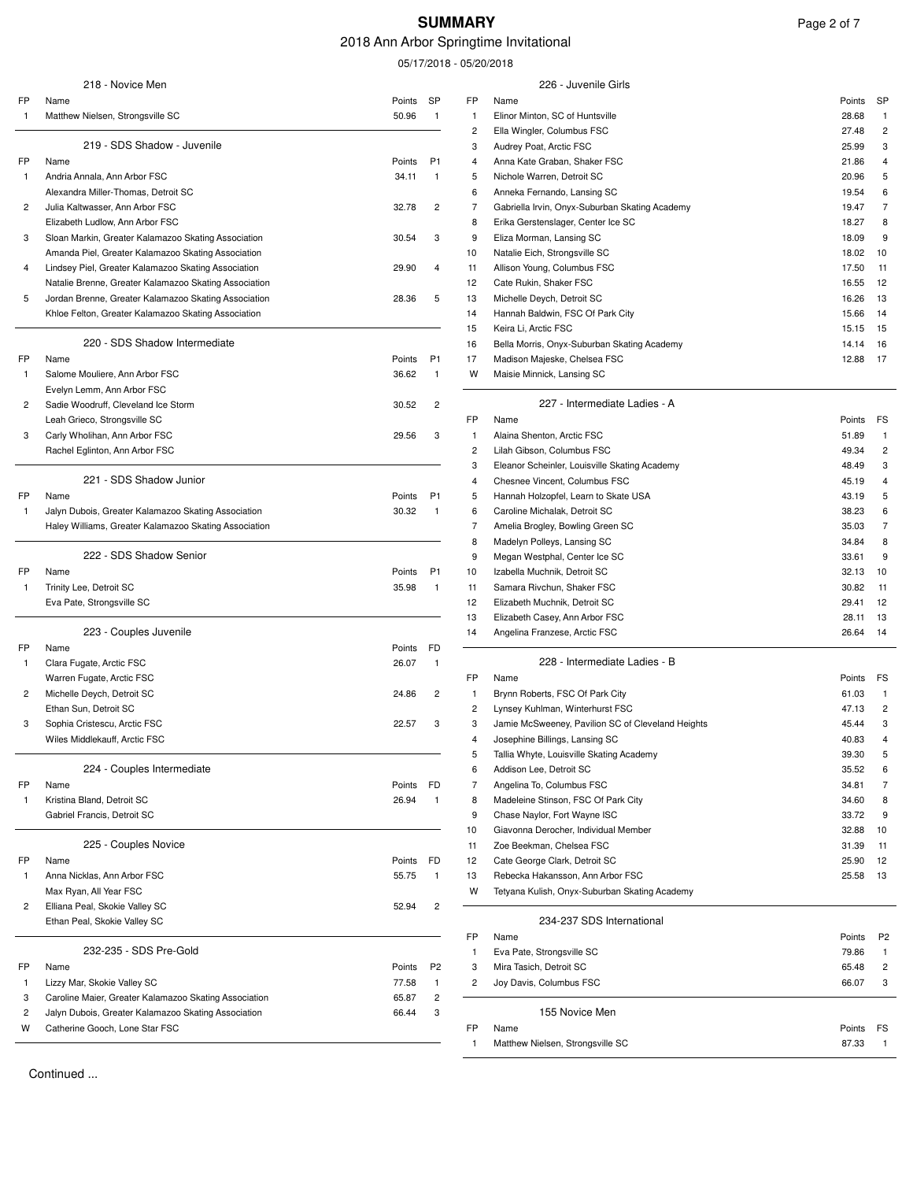# **SUMMARY** Page 2 of 7

# 2018 Ann Arbor Springtime Invitational

05/17/2018 - 05/20/2018

|                | 218 - Novice Men                                      |        |                         |                | 226 - Juvenile Girls                              |                   |                |
|----------------|-------------------------------------------------------|--------|-------------------------|----------------|---------------------------------------------------|-------------------|----------------|
| FP             | Name                                                  | Points | SP                      | FP             | Name                                              | Points            | <b>SP</b>      |
| -1             | Matthew Nielsen, Strongsville SC                      | 50.96  | $\overline{1}$          | 1              | Elinor Minton, SC of Huntsville                   | 28.68             |                |
|                |                                                       |        |                         | 2              | Ella Wingler, Columbus FSC                        | 27.48             | 2              |
|                | 219 - SDS Shadow - Juvenile                           |        |                         | 3              | Audrey Poat, Arctic FSC                           | 25.99             | 3              |
| FP             | Name                                                  | Points | P1                      | 4              | Anna Kate Graban, Shaker FSC                      | 21.86             | 4              |
| -1             | Andria Annala, Ann Arbor FSC                          | 34.11  | -1                      | 5              | Nichole Warren, Detroit SC                        | 20.96             | 5              |
|                | Alexandra Miller-Thomas, Detroit SC                   |        |                         | 6              | Anneka Fernando, Lansing SC                       | 19.54             | 6              |
| 2              | Julia Kaltwasser, Ann Arbor FSC                       | 32.78  | $\overline{c}$          | 7              | Gabriella Irvin, Onyx-Suburban Skating Academy    | 19.47             | $\overline{7}$ |
|                | Elizabeth Ludlow, Ann Arbor FSC                       |        |                         | 8              | Erika Gerstenslager, Center Ice SC                | 18.27             | 8              |
| 3              | Sloan Markin, Greater Kalamazoo Skating Association   | 30.54  | 3                       | 9              | Eliza Morman, Lansing SC                          | 18.09             |                |
|                | Amanda Piel, Greater Kalamazoo Skating Association    |        |                         | 10             | Natalie Eich, Strongsville SC                     | 18.02             | 10             |
| 4              | Lindsey Piel, Greater Kalamazoo Skating Association   | 29.90  | 4                       | 11             | Allison Young, Columbus FSC                       | 17.50             | 11             |
|                | Natalie Brenne, Greater Kalamazoo Skating Association |        |                         | 12             | Cate Rukin, Shaker FSC                            | 16.55             | 12             |
| 5              | Jordan Brenne, Greater Kalamazoo Skating Association  | 28.36  | 5                       | 13             | Michelle Deych, Detroit SC                        | 16.26             | 13             |
|                | Khloe Felton, Greater Kalamazoo Skating Association   |        |                         | 14             | Hannah Baldwin, FSC Of Park City                  | 15.66             | 14             |
|                |                                                       |        |                         | 15             | Keira Li, Arctic FSC                              | 15.15             | 15             |
|                | 220 - SDS Shadow Intermediate                         |        |                         | 16             | Bella Morris, Onyx-Suburban Skating Academy       | 14.14             | 16             |
| FP             |                                                       | Points | P <sub>1</sub>          | 17             |                                                   | 12.88             | 17             |
|                | Name<br>Salome Mouliere, Ann Arbor FSC                |        | $\overline{1}$          |                | Madison Majeske, Chelsea FSC                      |                   |                |
| -1             |                                                       | 36.62  |                         | W              | Maisie Minnick, Lansing SC                        |                   |                |
|                | Evelyn Lemm, Ann Arbor FSC                            |        |                         |                | 227 - Intermediate Ladies - A                     |                   |                |
| 2              | Sadie Woodruff, Cleveland Ice Storm                   | 30.52  | 2                       |                |                                                   |                   |                |
|                | Leah Grieco, Strongsville SC                          |        |                         | FP             | Name                                              | Points            | FS             |
| 3              | Carly Wholihan, Ann Arbor FSC                         | 29.56  | 3                       | 1              | Alaina Shenton, Arctic FSC                        | 51.89             |                |
|                | Rachel Eglinton, Ann Arbor FSC                        |        |                         | 2              | Lilah Gibson, Columbus FSC                        | 49.34             | 2              |
|                |                                                       |        |                         | 3              | Eleanor Scheinler, Louisville Skating Academy     | 48.49             | 3              |
|                | 221 - SDS Shadow Junior                               |        |                         | 4              | Chesnee Vincent, Columbus FSC                     | 45.19             |                |
| FP             | Name                                                  | Points | P <sub>1</sub>          | 5              | Hannah Holzopfel, Learn to Skate USA              | 43.19             | 5              |
| 1              | Jalyn Dubois, Greater Kalamazoo Skating Association   | 30.32  | $\overline{1}$          | 6              | Caroline Michalak, Detroit SC                     | 38.23             | 6              |
|                | Haley Williams, Greater Kalamazoo Skating Association |        |                         | 7              | Amelia Brogley, Bowling Green SC                  | 35.03             | 7              |
|                |                                                       |        |                         | 8              | Madelyn Polleys, Lansing SC                       | 34.84             | 8              |
|                | 222 - SDS Shadow Senior                               |        |                         | 9              | Megan Westphal, Center Ice SC                     | 33.61             | 9              |
|                | Name                                                  | Points | P <sub>1</sub>          | 10             | Izabella Muchnik, Detroit SC                      | 32.13             | 10             |
| $\overline{1}$ | Trinity Lee, Detroit SC                               | 35.98  | $\overline{1}$          | 11             | Samara Rivchun, Shaker FSC                        | 30.82             | 11             |
|                | Eva Pate, Strongsville SC                             |        |                         | 12             | Elizabeth Muchnik, Detroit SC                     | 29.41             | 12             |
|                |                                                       |        |                         | 13             | Elizabeth Casey, Ann Arbor FSC                    | 28.11             | 13             |
|                | 223 - Couples Juvenile                                |        |                         | 14             | Angelina Franzese, Arctic FSC                     | 26.64             | -14            |
| FP             | Name                                                  | Points | FD                      |                |                                                   |                   |                |
| $\mathbf{1}$   | Clara Fugate, Arctic FSC                              | 26.07  | $\overline{1}$          |                | 228 - Intermediate Ladies - B                     |                   |                |
|                | Warren Fugate, Arctic FSC                             |        |                         | FP             | Name                                              | Points            | FS             |
| 2              | Michelle Deych, Detroit SC                            | 24.86  | 2                       | 1              | Brynn Roberts, FSC Of Park City                   | 61.03             |                |
|                | Ethan Sun, Detroit SC                                 |        |                         | 2              | Lynsey Kuhlman, Winterhurst FSC                   | 47.13             | $\overline{c}$ |
| 3              | Sophia Cristescu, Arctic FSC                          | 22.57  | 3                       | 3              | Jamie McSweeney, Pavilion SC of Cleveland Heights | 45.44             | 3              |
|                | Wiles Middlekauff, Arctic FSC                         |        |                         | 4              | Josephine Billings, Lansing SC                    | 40.83             |                |
|                |                                                       |        |                         | 5              | Tallia Whyte, Louisville Skating Academy          | 39.30             | 5              |
|                | 224 - Couples Intermediate                            |        |                         | 6              | Addison Lee, Detroit SC                           | 35.52             |                |
| FP             | Name                                                  | Points | FD                      | $\overline{7}$ | Angelina To, Columbus FSC                         | 34.81             |                |
| $\mathbf{1}$   | Kristina Bland, Detroit SC                            | 26.94  | $\overline{1}$          | 8              | Madeleine Stinson, FSC Of Park City               | 34.60             | 8              |
|                | Gabriel Francis, Detroit SC                           |        |                         | 9              | Chase Naylor, Fort Wayne ISC                      | 33.72             | 9              |
|                |                                                       |        |                         | 10             | Giavonna Derocher, Individual Member              | 32.88             | 10             |
|                | 225 - Couples Novice                                  |        |                         | 11             | Zoe Beekman, Chelsea FSC                          | 31.39             | 11             |
| FP             | Name                                                  | Points | FD                      | 12             | Cate George Clark, Detroit SC                     | 25.90             | 12             |
| -1             | Anna Nicklas, Ann Arbor FSC                           | 55.75  | $\overline{1}$          | 13             | Rebecka Hakansson, Ann Arbor FSC                  | 25.58             | 13             |
|                | Max Ryan, All Year FSC                                |        |                         | W              | Tetyana Kulish, Onyx-Suburban Skating Academy     |                   |                |
| 2              | Elliana Peal, Skokie Valley SC                        | 52.94  | $\overline{\mathbf{c}}$ |                |                                                   |                   |                |
|                | Ethan Peal, Skokie Valley SC                          |        |                         |                | 234-237 SDS International                         |                   |                |
|                |                                                       |        |                         | FP             | Name                                              |                   | P2             |
|                | 232-235 - SDS Pre-Gold                                |        |                         |                |                                                   | Points            |                |
|                |                                                       |        |                         | 1              | Eva Pate, Strongsville SC                         | 79.86             |                |
| FP             | Name                                                  | Points | P <sub>2</sub>          | 3              | Mira Tasich, Detroit SC                           | 65.48             | 2              |
| -1             | Lizzy Mar, Skokie Valley SC                           | 77.58  | $\mathbf{1}$            | $\overline{c}$ | Joy Davis, Columbus FSC                           | 66.07             | 3              |
| 3              | Caroline Maier, Greater Kalamazoo Skating Association | 65.87  | $\overline{c}$          |                | 155 Novice Men                                    |                   |                |
| $\overline{c}$ | Jalyn Dubois, Greater Kalamazoo Skating Association   | 66.44  | 3                       |                |                                                   |                   |                |
| W              | Catherine Gooch, Lone Star FSC                        |        |                         | FP             | Name<br>Nioloon Ctrongovillo CO<br>M <sub>o</sub> | Points FS<br>0700 |                |
|                |                                                       |        |                         |                |                                                   |                   |                |

Continued .

 $\overline{a}$ 

 $\overline{\phantom{a}}$ 

 $\overline{a}$ 

| 218 - Novice Men                                                    |        |                |                         | 226 - Juvenile Girls                              |                 |                    |
|---------------------------------------------------------------------|--------|----------------|-------------------------|---------------------------------------------------|-----------------|--------------------|
| Name                                                                | Points | SP             | FP                      | Name                                              | Points          | SP                 |
| Matthew Nielsen, Strongsville SC                                    | 50.96  | $\overline{1}$ | $\overline{1}$          | Elinor Minton, SC of Huntsville                   | 28.68           | $\mathbf{1}$       |
|                                                                     |        |                | 2                       | Ella Wingler, Columbus FSC                        | 27.48           | 2                  |
| 219 - SDS Shadow - Juvenile                                         |        |                | 3                       | Audrey Poat, Arctic FSC                           | 25.99           | 3                  |
| Name                                                                | Points | P <sub>1</sub> | 4                       | Anna Kate Graban, Shaker FSC                      | 21.86           | 4                  |
| Andria Annala, Ann Arbor FSC                                        | 34.11  | $\mathbf{1}$   | 5                       | Nichole Warren, Detroit SC                        | 20.96           | 5                  |
| Alexandra Miller-Thomas, Detroit SC                                 |        |                | 6                       | Anneka Fernando, Lansing SC                       | 19.54           | 6                  |
| Julia Kaltwasser, Ann Arbor FSC                                     | 32.78  | $\overline{c}$ | 7                       | Gabriella Irvin, Onyx-Suburban Skating Academy    | 19.47           | 7                  |
| Elizabeth Ludlow, Ann Arbor FSC                                     |        |                | 8                       | Erika Gerstenslager, Center Ice SC                | 18.27           | 8                  |
| Sloan Markin, Greater Kalamazoo Skating Association                 | 30.54  | 3              | 9                       | Eliza Morman, Lansing SC                          | 18.09           | 9                  |
| Amanda Piel, Greater Kalamazoo Skating Association                  |        |                | 10                      | Natalie Eich, Strongsville SC                     | 18.02           | 10                 |
| Lindsey Piel, Greater Kalamazoo Skating Association                 | 29.90  | $\overline{4}$ | 11                      | Allison Young, Columbus FSC                       | 17.50           | 11                 |
| Natalie Brenne, Greater Kalamazoo Skating Association               |        |                | 12                      | Cate Rukin, Shaker FSC                            | 16.55           | 12                 |
| Jordan Brenne, Greater Kalamazoo Skating Association                | 28.36  | 5              | 13                      | Michelle Deych, Detroit SC                        | 16.26           | 13                 |
| Khloe Felton, Greater Kalamazoo Skating Association                 |        |                | 14                      | Hannah Baldwin, FSC Of Park City                  | 15.66           | 14                 |
| 220 - SDS Shadow Intermediate                                       |        |                | 15                      | Keira Li, Arctic FSC                              | 15.15           | 15                 |
|                                                                     |        |                | 16                      | Bella Morris, Onyx-Suburban Skating Academy       | 14.14           | 16                 |
| Name                                                                | Points | P <sub>1</sub> | 17                      | Madison Majeske, Chelsea FSC                      | 12.88           | -17                |
| Salome Mouliere, Ann Arbor FSC                                      | 36.62  | $\mathbf{1}$   | w                       | Maisie Minnick, Lansing SC                        |                 |                    |
| Evelyn Lemm, Ann Arbor FSC                                          |        |                |                         | 227 - Intermediate Ladies - A                     |                 |                    |
| Sadie Woodruff, Cleveland Ice Storm<br>Leah Grieco, Strongsville SC | 30.52  | $\overline{c}$ | FP                      | Name                                              |                 |                    |
|                                                                     | 29.56  | 3              | $\overline{1}$          | Alaina Shenton, Arctic FSC                        | Points<br>51.89 | FS<br>$\mathbf{1}$ |
| Carly Wholihan, Ann Arbor FSC                                       |        |                | 2                       | Lilah Gibson, Columbus FSC                        | 49.34           | $\overline{c}$     |
| Rachel Eglinton, Ann Arbor FSC                                      |        |                | 3                       | Eleanor Scheinler, Louisville Skating Academy     | 48.49           | 3                  |
| 221 - SDS Shadow Junior                                             |        |                | 4                       | Chesnee Vincent, Columbus FSC                     | 45.19           | 4                  |
| Name                                                                | Points | P1             | 5                       | Hannah Holzopfel, Learn to Skate USA              | 43.19           | 5                  |
| Jalyn Dubois, Greater Kalamazoo Skating Association                 | 30.32  | $\overline{1}$ | 6                       | Caroline Michalak, Detroit SC                     | 38.23           | 6                  |
| Haley Williams, Greater Kalamazoo Skating Association               |        |                | 7                       | Amelia Brogley, Bowling Green SC                  | 35.03           | 7                  |
|                                                                     |        |                | 8                       | Madelyn Polleys, Lansing SC                       | 34.84           | 8                  |
| 222 - SDS Shadow Senior                                             |        |                | 9                       | Megan Westphal, Center Ice SC                     | 33.61           | 9                  |
| Name                                                                | Points | P1             | 10                      | Izabella Muchnik, Detroit SC                      | 32.13           | 10                 |
| Trinity Lee, Detroit SC                                             | 35.98  | $\overline{1}$ | 11                      | Samara Rivchun, Shaker FSC                        | 30.82           | 11                 |
| Eva Pate, Strongsville SC                                           |        |                | 12                      | Elizabeth Muchnik, Detroit SC                     | 29.41           | 12                 |
|                                                                     |        |                | 13                      | Elizabeth Casey, Ann Arbor FSC                    | 28.11           | 13                 |
| 223 - Couples Juvenile                                              |        |                | 14                      | Angelina Franzese, Arctic FSC                     | 26.64           | 14                 |
| Name                                                                | Points | FD             |                         |                                                   |                 |                    |
| Clara Fugate, Arctic FSC                                            | 26.07  | $\mathbf{1}$   |                         | 228 - Intermediate Ladies - B                     |                 |                    |
| Warren Fugate, Arctic FSC                                           |        |                | FP                      | Name                                              | Points          | FS                 |
| Michelle Deych, Detroit SC                                          | 24.86  | 2              | $\overline{1}$          | Brynn Roberts, FSC Of Park City                   | 61.03           | $\overline{1}$     |
| Ethan Sun, Detroit SC                                               |        |                | 2                       | Lynsey Kuhlman, Winterhurst FSC                   | 47.13           | $\overline{c}$     |
| Sophia Cristescu, Arctic FSC                                        | 22.57  | 3              | 3                       | Jamie McSweeney, Pavilion SC of Cleveland Heights | 45.44           | 3                  |
| Wiles Middlekauff, Arctic FSC                                       |        |                | 4                       | Josephine Billings, Lansing SC                    | 40.83           | 4                  |
|                                                                     |        |                | 5                       | Tallia Whyte, Louisville Skating Academy          | 39.30           | 5                  |
| 224 - Couples Intermediate                                          |        |                | 6                       | Addison Lee, Detroit SC                           | 35.52           | 6                  |
| Name                                                                | Points | FD             | 7                       | Angelina To, Columbus FSC                         | 34.81           | 7                  |
| Kristina Bland, Detroit SC                                          | 26.94  | $\overline{1}$ | 8                       | Madeleine Stinson, FSC Of Park City               | 34.60           | 8                  |
| Gabriel Francis, Detroit SC                                         |        |                | 9                       | Chase Naylor, Fort Wayne ISC                      | 33.72           | 9                  |
|                                                                     |        |                | 10                      | Giavonna Derocher, Individual Member              | 32.88           | 10                 |
| 225 - Couples Novice                                                |        |                | 11                      | Zoe Beekman, Chelsea FSC                          | 31.39           | 11                 |
| Name                                                                | Points | FD             | 12                      | Cate George Clark, Detroit SC                     | 25.90           | 12                 |
| Anna Nicklas, Ann Arbor FSC                                         | 55.75  | $\mathbf{1}$   | 13                      | Rebecka Hakansson, Ann Arbor FSC                  | 25.58           | 13                 |
| Max Ryan, All Year FSC                                              |        |                | W                       | Tetyana Kulish, Onyx-Suburban Skating Academy     |                 |                    |
| Elliana Peal, Skokie Valley SC                                      | 52.94  | $\overline{c}$ |                         |                                                   |                 |                    |
| Ethan Peal, Skokie Valley SC                                        |        |                |                         | 234-237 SDS International                         |                 |                    |
|                                                                     |        |                | FP                      | Name                                              | Points          | P <sub>2</sub>     |
| 232-235 - SDS Pre-Gold                                              |        |                | $\overline{1}$          | Eva Pate, Strongsville SC                         | 79.86           | $\overline{1}$     |
| Name                                                                | Points | P <sub>2</sub> | 3                       | Mira Tasich, Detroit SC                           | 65.48           | $\overline{c}$     |
| Lizzy Mar, Skokie Valley SC                                         | 77.58  | $\mathbf{1}$   | $\overline{\mathbf{c}}$ | Joy Davis, Columbus FSC                           | 66.07           | 3                  |
| Caroline Maier, Greater Kalamazoo Skating Association               | 65.87  | $\overline{c}$ |                         | 155 Novice Men                                    |                 |                    |
| Jalyn Dubois, Greater Kalamazoo Skating Association                 | 66.44  | 3              |                         |                                                   |                 |                    |

1 Matthew Nielsen, Strongsville SC 87.33 1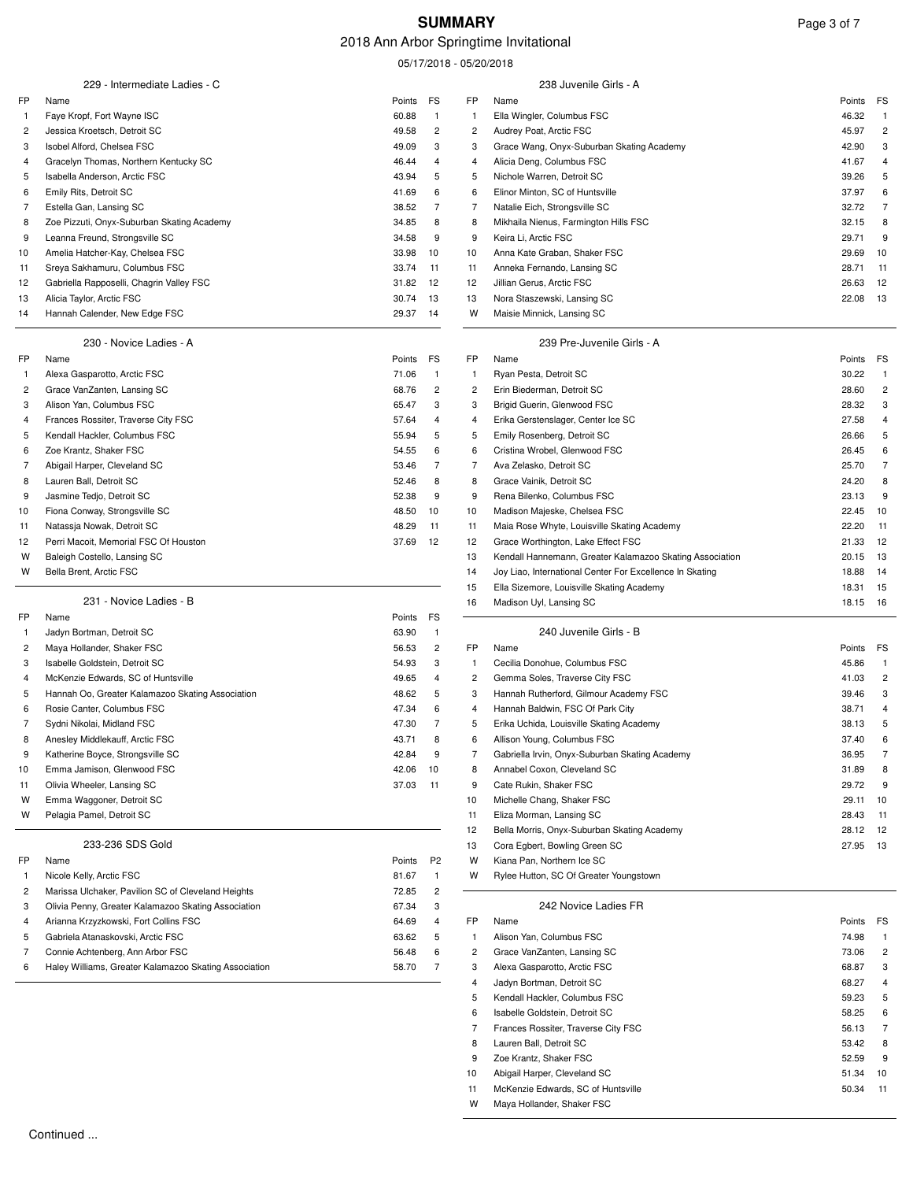### 2018 Ann Arbor Springtime Invitational

05/17/2018 - 05/20/2018

|              |                                                          |                |                         | 05/17/2018 - 05/20/2018 |                                                                               |                |                         |
|--------------|----------------------------------------------------------|----------------|-------------------------|-------------------------|-------------------------------------------------------------------------------|----------------|-------------------------|
|              | 229 - Intermediate Ladies - C                            |                |                         |                         | 238 Juvenile Girls - A                                                        |                |                         |
| FP           | Name                                                     | Points         | FS                      | FP                      | Name                                                                          | Points         | FS                      |
| $\mathbf{1}$ | Faye Kropf, Fort Wayne ISC                               | 60.88          | $\mathbf{1}$            | $\mathbf{1}$            | Ella Wingler, Columbus FSC                                                    | 46.32          | $\overline{1}$          |
| 2            | Jessica Kroetsch, Detroit SC                             | 49.58          | $\overline{2}$          | 2                       | Audrey Poat, Arctic FSC                                                       | 45.97          | $\overline{c}$          |
| 3            | Isobel Alford, Chelsea FSC                               | 49.09          | 3                       | 3                       | Grace Wang, Onyx-Suburban Skating Academy                                     | 42.90          | 3                       |
| 4            | Gracelyn Thomas, Northern Kentucky SC                    | 46.44          | $\overline{4}$          | 4                       | Alicia Deng, Columbus FSC                                                     | 41.67          | 4                       |
| 5            | Isabella Anderson, Arctic FSC                            | 43.94          | 5                       | 5                       | Nichole Warren, Detroit SC                                                    | 39.26          | 5                       |
| 6            | Emily Rits, Detroit SC                                   | 41.69          | 6                       | 6                       | Elinor Minton, SC of Huntsville                                               | 37.97          | 6                       |
| 7            | Estella Gan, Lansing SC                                  | 38.52          | $\overline{7}$          | 7                       | Natalie Eich, Strongsville SC                                                 | 32.72          | $\overline{7}$          |
| 8            | Zoe Pizzuti, Onyx-Suburban Skating Academy               | 34.85          | 8                       | 8                       | Mikhaila Nienus, Farmington Hills FSC                                         | 32.15          | 8                       |
| 9            | Leanna Freund, Strongsville SC                           | 34.58          | 9                       | 9                       | Keira Li, Arctic FSC                                                          | 29.71          | 9                       |
| 10           | Amelia Hatcher-Kay, Chelsea FSC                          | 33.98          | 10                      | 10                      | Anna Kate Graban, Shaker FSC                                                  | 29.69          | 10                      |
| 11           | Sreya Sakhamuru, Columbus FSC                            | 33.74          | 11                      | 11                      | Anneka Fernando, Lansing SC                                                   | 28.71          | 11                      |
| 12           | Gabriella Rapposelli, Chagrin Valley FSC                 | 31.82          | 12                      | 12                      | Jillian Gerus, Arctic FSC                                                     | 26.63          | 12                      |
| 13           | Alicia Taylor, Arctic FSC                                | 30.74          | 13                      | 13                      | Nora Staszewski, Lansing SC                                                   | 22.08          | 13                      |
| 14           | Hannah Calender, New Edge FSC                            | 29.37          | 14                      | W                       | Maisie Minnick, Lansing SC                                                    |                |                         |
|              | 230 - Novice Ladies - A                                  |                |                         |                         | 239 Pre-Juvenile Girls - A                                                    |                |                         |
| FP           | Name                                                     | Points         | FS                      | FP                      | Name                                                                          | Points         | FS                      |
| -1           | Alexa Gasparotto, Arctic FSC                             | 71.06          | $\overline{1}$          | $\mathbf{1}$            | Ryan Pesta, Detroit SC                                                        | 30.22          | $\overline{1}$          |
| 2            | Grace VanZanten, Lansing SC                              | 68.76          | $\overline{2}$          | $\overline{c}$          | Erin Biederman, Detroit SC                                                    | 28.60          | $\overline{c}$          |
| 3            | Alison Yan, Columbus FSC                                 | 65.47          | 3                       | 3                       | Brigid Guerin, Glenwood FSC                                                   | 28.32          | 3                       |
| 4            | Frances Rossiter, Traverse City FSC                      | 57.64          | $\overline{4}$          | 4                       | Erika Gerstenslager, Center Ice SC                                            | 27.58          | $\overline{\mathbf{4}}$ |
| 5            | Kendall Hackler, Columbus FSC                            | 55.94          | 5                       | 5                       | Emily Rosenberg, Detroit SC                                                   | 26.66          | 5                       |
| 6            | Zoe Krantz, Shaker FSC                                   | 54.55          | 6                       | 6                       | Cristina Wrobel, Glenwood FSC                                                 | 26.45          | 6                       |
| 7            | Abigail Harper, Cleveland SC                             | 53.46          | $\overline{7}$          | 7                       | Ava Zelasko, Detroit SC                                                       | 25.70          | 7                       |
| 8            | Lauren Ball, Detroit SC                                  | 52.46          | 8                       | 8                       | Grace Vainik, Detroit SC                                                      | 24.20          | 8                       |
| 9            | Jasmine Tedjo, Detroit SC                                | 52.38          | 9                       | 9                       | Rena Bilenko, Columbus FSC                                                    | 23.13          | 9                       |
| 10           | Fiona Conway, Strongsville SC                            | 48.50          | 10                      | 10                      | Madison Majeske, Chelsea FSC                                                  | 22.45          | 10                      |
| 11           | Natassja Nowak, Detroit SC                               | 48.29          | 11                      | 11                      | Maia Rose Whyte, Louisville Skating Academy                                   | 22.20          | 11                      |
| 12           | Perri Macoit, Memorial FSC Of Houston                    | 37.69          | 12                      | 12                      | Grace Worthington, Lake Effect FSC                                            | 21.33          | 12                      |
| W            | Baleigh Costello, Lansing SC                             |                |                         | 13                      | Kendall Hannemann, Greater Kalamazoo Skating Association                      | 20.15          | 13                      |
| W            | Bella Brent, Arctic FSC                                  |                |                         | 14                      | Joy Liao, International Center For Excellence In Skating                      | 18.88          | 14                      |
|              |                                                          |                |                         | 15                      | Ella Sizemore, Louisville Skating Academy                                     | 18.31          | 15                      |
|              | 231 - Novice Ladies - B                                  |                |                         | 16                      | Madison Uyl, Lansing SC                                                       | 18.15          | 16                      |
| FP           | Name                                                     | Points         | FS                      |                         |                                                                               |                |                         |
| -1           | Jadyn Bortman, Detroit SC                                | 63.90          | $\mathbf{1}$            |                         | 240 Juvenile Girls - B                                                        |                |                         |
| 2            | Maya Hollander, Shaker FSC                               | 56.53          | $\overline{\mathbf{c}}$ | FP                      | Name                                                                          | Points         | FS                      |
| 3            | Isabelle Goldstein, Detroit SC                           | 54.93          | 3                       | $\mathbf{1}$            | Cecilia Donohue, Columbus FSC                                                 | 45.86          | $\mathbf{1}$            |
| 4            | McKenzie Edwards, SC of Huntsville                       | 49.65          | 4                       | 2                       | Gemma Soles, Traverse City FSC                                                | 41.03          | $\overline{\mathbf{c}}$ |
| 5            | Hannah Oo, Greater Kalamazoo Skating Association         | 48.62          | 5                       | 3                       | Hannah Rutherford, Gilmour Academy FSC                                        | 39.46          | 3                       |
| 6<br>7       | Rosie Canter, Columbus FSC<br>Sydni Nikolai, Midland FSC | 47.34<br>47.30 | 6<br>$\overline{7}$     | 4<br>5                  | Hannah Baldwin, FSC Of Park City                                              | 38.71<br>38.13 | 4<br>5                  |
| 8            | Anesley Middlekauff, Arctic FSC                          | 43.71          | 8                       |                         | Erika Uchida, Louisville Skating Academy                                      | 37.40          | 6                       |
| 9            | Katherine Boyce, Strongsville SC                         | 42.84          | 9                       | 6<br>7                  | Allison Young, Columbus FSC<br>Gabriella Irvin, Onyx-Suburban Skating Academy | 36.95          | 7                       |
| 10           | Emma Jamison, Glenwood FSC                               | 42.06          | 10                      | 8                       | Annabel Coxon, Cleveland SC                                                   | 31.89          | 8                       |
| 11           | Olivia Wheeler, Lansing SC                               | 37.03          | 11                      | 9                       | Cate Rukin, Shaker FSC                                                        | 29.72          | 9                       |
| W            | Emma Waggoner, Detroit SC                                |                |                         | 10                      | Michelle Chang, Shaker FSC                                                    | 29.11          | 10                      |
| W            | Pelagia Pamel, Detroit SC                                |                |                         | 11                      | Eliza Morman, Lansing SC                                                      | 28.43          | 11                      |
|              |                                                          |                |                         | 12                      | Bella Morris, Onyx-Suburban Skating Academy                                   | 28.12          | 12                      |
|              | 233-236 SDS Gold                                         |                |                         | 13                      | Cora Egbert, Bowling Green SC                                                 | 27.95          | 13                      |
| FP           | Name                                                     | Points         | P <sub>2</sub>          | W                       | Kiana Pan, Northern Ice SC                                                    |                |                         |
| -1           | Nicole Kelly, Arctic FSC                                 | 81.67          | $\mathbf{1}$            | W                       | Rylee Hutton, SC Of Greater Youngstown                                        |                |                         |
| 2            | Marissa Ulchaker, Pavilion SC of Cleveland Heights       | 72.85          | 2                       |                         |                                                                               |                |                         |
| 3            | Olivia Penny, Greater Kalamazoo Skating Association      | 67.34          | 3                       |                         | 242 Novice Ladies FR                                                          |                |                         |
| 4            | Arianna Krzyzkowski, Fort Collins FSC                    | 64.69          | 4                       | FP                      | Name                                                                          | Points         | FS                      |
| 5            | Gabriela Atanaskovski, Arctic FSC                        | 63.62          | 5                       | $\mathbf{1}$            | Alison Yan, Columbus FSC                                                      | 74.98          | $\mathbf{1}$            |
| 7            | Connie Achtenberg, Ann Arbor FSC                         | 56.48          | 6                       | 2                       | Grace VanZanten, Lansing SC                                                   | 73.06          | $\overline{\mathbf{c}}$ |
| 6            | Haley Williams, Greater Kalamazoo Skating Association    | 58.70          | 7                       | 3                       | Alexa Gasparotto, Arctic FSC                                                  | 68.87          | 3                       |
|              |                                                          |                |                         | 4                       | Jadyn Bortman, Detroit SC                                                     | 68.27          | 4                       |
|              |                                                          |                |                         | 5                       | Kendall Hackler, Columbus FSC                                                 | 59.23          | 5                       |
|              |                                                          |                |                         | 6                       | Isabelle Goldstein, Detroit SC                                                | 58.25          | 6                       |
|              |                                                          |                |                         | 7                       | Frances Rossiter, Traverse City FSC                                           | 56.13          | 7                       |

8 Lauren Ball, Detroit SC 63.42 8 9 Zoe Krantz, Shaker FSC 52.59 9 10 Abigail Harper, Cleveland SC 51.34 10 11 McKenzie Edwards, SC of Huntsville 50.34 11

W Maya Hollander, Shaker FSC

Continued ...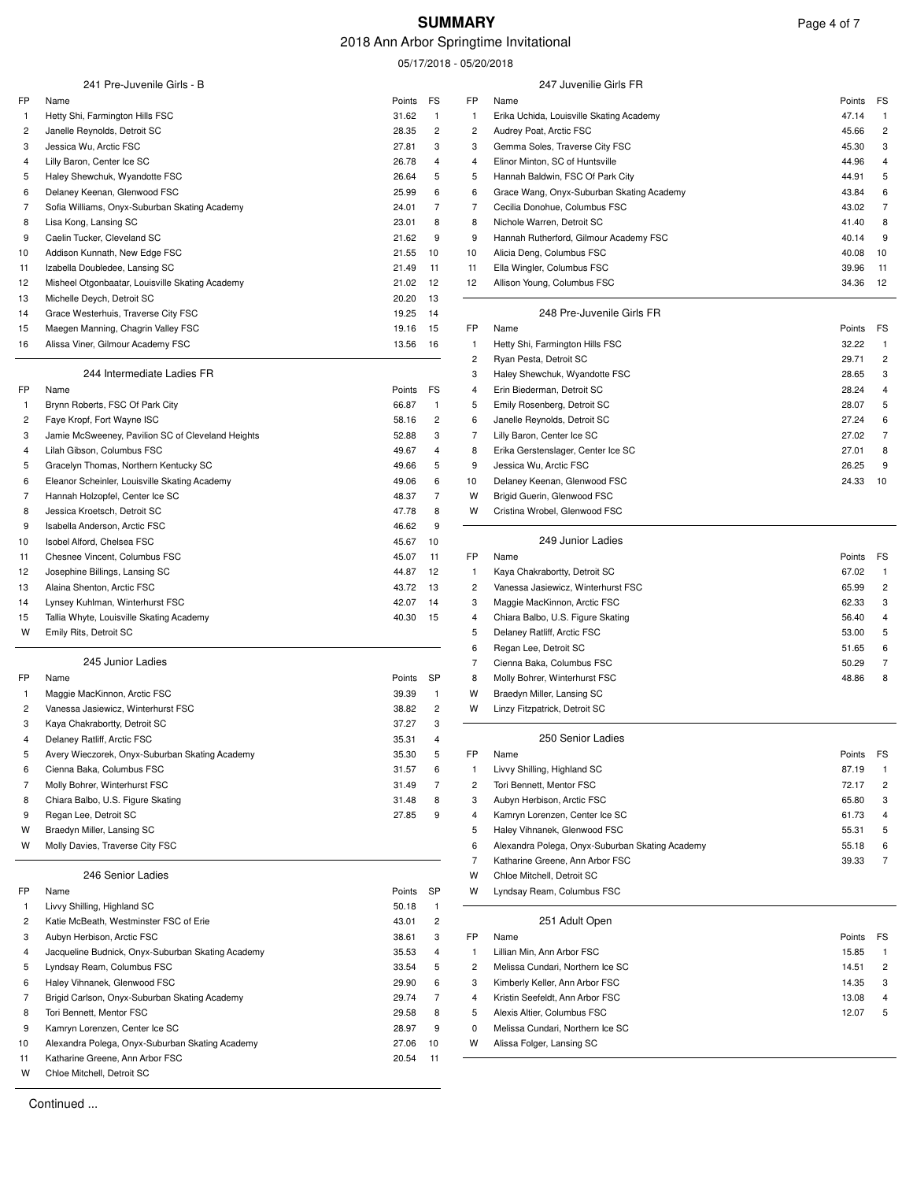# 2018 Ann Arbor Springtime Invitational

05/17/2018 - 05/20/2018

|              | 241 Pre-Juvenile Girls - B                                                       |                |                     |                     | 247 Juvenilie Girls FR                                        |                                       |
|--------------|----------------------------------------------------------------------------------|----------------|---------------------|---------------------|---------------------------------------------------------------|---------------------------------------|
| FP           | Name                                                                             | Points         | FS                  | FP                  | Name                                                          | Points<br>FS                          |
| -1           | Hetty Shi, Farmington Hills FSC                                                  | 31.62          | $\mathbf{1}$        | 1                   | Erika Uchida, Louisville Skating Academy                      | 47.14                                 |
| 2<br>3       | Janelle Reynolds, Detroit SC<br>Jessica Wu, Arctic FSC                           | 28.35<br>27.81 | 2<br>3              | 2<br>3              | Audrey Poat, Arctic FSC<br>Gemma Soles, Traverse City FSC     | 45.66<br>$\overline{c}$<br>3<br>45.30 |
| 4            | Lilly Baron, Center Ice SC                                                       | 26.78          | 4                   | 4                   | Elinor Minton, SC of Huntsville                               | 44.96<br>4                            |
| 5            | Haley Shewchuk, Wyandotte FSC                                                    | 26.64          | 5                   | 5                   | Hannah Baldwin, FSC Of Park City                              | 44.91<br>5                            |
| 6            | Delaney Keenan, Glenwood FSC                                                     | 25.99          | 6                   | 6                   | Grace Wang, Onyx-Suburban Skating Academy                     | 43.84<br>6                            |
| 7            | Sofia Williams, Onyx-Suburban Skating Academy                                    | 24.01          | $\overline{7}$      | 7                   | Cecilia Donohue, Columbus FSC                                 | 43.02<br>7                            |
| 8            | Lisa Kong, Lansing SC                                                            | 23.01          | 8                   | 8                   | Nichole Warren, Detroit SC                                    | 41.40<br>8                            |
| 9            | Caelin Tucker, Cleveland SC                                                      | 21.62          | 9                   | 9                   | Hannah Rutherford, Gilmour Academy FSC                        | 40.14<br>9                            |
| 10           | Addison Kunnath, New Edge FSC                                                    | 21.55          | 10                  | 10                  | Alicia Deng, Columbus FSC                                     | 40.08<br>10                           |
| 11           | Izabella Doubledee, Lansing SC                                                   | 21.49          | 11                  | 11                  | Ella Wingler, Columbus FSC                                    | 39.96<br>11                           |
| 12           | Misheel Otgonbaatar, Louisville Skating Academy                                  | 21.02          | 12                  | 12                  | Allison Young, Columbus FSC                                   | 12<br>34.36                           |
| 13           | Michelle Deych, Detroit SC                                                       | 20.20          | 13                  |                     |                                                               |                                       |
| 14           | Grace Westerhuis, Traverse City FSC                                              | 19.25          | 14                  |                     | 248 Pre-Juvenile Girls FR                                     |                                       |
| 15           | Maegen Manning, Chagrin Valley FSC                                               | 19.16          | 15                  | FP                  | Name                                                          | Points<br>FS                          |
| 16           | Alissa Viner, Gilmour Academy FSC                                                | 13.56          | 16                  | $\mathbf{1}$        | Hetty Shi, Farmington Hills FSC                               | 32.22                                 |
|              |                                                                                  |                |                     | $\overline{c}$      | Ryan Pesta, Detroit SC                                        | 29.71<br>$\overline{c}$               |
|              | 244 Intermediate Ladies FR                                                       |                |                     | 3                   | Haley Shewchuk, Wyandotte FSC                                 | 28.65<br>3                            |
| <b>FP</b>    | Name                                                                             | Points         | FS                  | 4                   | Erin Biederman, Detroit SC                                    | 28.24                                 |
| 1            | Brynn Roberts, FSC Of Park City                                                  | 66.87          | $\mathbf{1}$        | 5                   | Emily Rosenberg, Detroit SC                                   | 28.07<br>5                            |
| 2            | Faye Kropf, Fort Wayne ISC                                                       | 58.16          | 2                   | 6                   | Janelle Reynolds, Detroit SC                                  | 27.24<br>6                            |
| 3            | Jamie McSweeney, Pavilion SC of Cleveland Heights                                | 52.88          | 3                   | 7                   | Lilly Baron, Center Ice SC                                    | 27.02<br>7                            |
| 4            | Lilah Gibson, Columbus FSC                                                       | 49.67          | 4                   | 8                   | Erika Gerstenslager, Center Ice SC                            | 27.01<br>8                            |
| 5            | Gracelyn Thomas, Northern Kentucky SC                                            | 49.66          | 5                   | 9                   | Jessica Wu, Arctic FSC                                        | 26.25<br>9                            |
| 6<br>7       | Eleanor Scheinler, Louisville Skating Academy<br>Hannah Holzopfel, Center Ice SC | 49.06<br>48.37 | 6<br>$\overline{7}$ | 10<br>W             | Delaney Keenan, Glenwood FSC<br>Brigid Guerin, Glenwood FSC   | 24.33<br>10                           |
| 8            | Jessica Kroetsch, Detroit SC                                                     | 47.78          | 8                   | w                   | Cristina Wrobel, Glenwood FSC                                 |                                       |
| 9            | Isabella Anderson, Arctic FSC                                                    | 46.62          | 9                   |                     |                                                               |                                       |
| 10           | Isobel Alford, Chelsea FSC                                                       | 45.67          | 10                  |                     | 249 Junior Ladies                                             |                                       |
| 11           | Chesnee Vincent, Columbus FSC                                                    | 45.07          | 11                  | FP                  | Name                                                          | Points<br>FS                          |
| 12           | Josephine Billings, Lansing SC                                                   | 44.87          | 12                  | $\mathbf{1}$        | Kaya Chakrabortty, Detroit SC                                 | 67.02                                 |
| 13           | Alaina Shenton, Arctic FSC                                                       | 43.72          | 13                  | 2                   | Vanessa Jasiewicz, Winterhurst FSC                            | 65.99<br>$\overline{c}$               |
| 14           | Lynsey Kuhlman, Winterhurst FSC                                                  | 42.07          | 14                  | 3                   | Maggie MacKinnon, Arctic FSC                                  | 62.33<br>3                            |
| 15           | Tallia Whyte, Louisville Skating Academy                                         | 40.30          | 15                  | 4                   | Chiara Balbo, U.S. Figure Skating                             | 56.40                                 |
| W            | Emily Rits, Detroit SC                                                           |                |                     | 5                   | Delaney Ratliff, Arctic FSC                                   | 53.00<br>5                            |
|              |                                                                                  |                |                     | 6                   | Regan Lee, Detroit SC                                         | 51.65<br>6                            |
|              | 245 Junior Ladies                                                                |                |                     | 7                   | Cienna Baka, Columbus FSC                                     | 50.29<br>7                            |
| FP           | Name                                                                             | Points         | SP                  | 8                   | Molly Bohrer, Winterhurst FSC                                 | 48.86<br>8                            |
| $\mathbf{1}$ | Maggie MacKinnon, Arctic FSC                                                     | 39.39          | $\overline{1}$      | W                   | Braedyn Miller, Lansing SC                                    |                                       |
| 2            | Vanessa Jasiewicz, Winterhurst FSC                                               | 38.82          | 2                   | W                   | Linzy Fitzpatrick, Detroit SC                                 |                                       |
| 3            | Kaya Chakrabortty, Detroit SC                                                    | 37.27          | 3                   |                     |                                                               |                                       |
| 4            | Delaney Ratliff, Arctic FSC                                                      | 35.31          | 4                   |                     | 250 Senior Ladies                                             |                                       |
| 5            | Avery Wieczorek, Onyx-Suburban Skating Academy                                   | 35.30          | 5                   | FP                  | Name                                                          | FS<br>Points                          |
| 6            | Cienna Baka, Columbus FSC                                                        | 31.57          | 6                   | 1                   | Livvy Shilling, Highland SC                                   | 87.19                                 |
| 7            | Molly Bohrer, Winterhurst FSC                                                    | 31.49          | 7                   | 2                   | Tori Bennett, Mentor FSC                                      | 72.17<br>$\overline{c}$               |
| 8            | Chiara Balbo, U.S. Figure Skating                                                | 31.48          | 8                   | 3                   | Aubyn Herbison, Arctic FSC                                    | 65.80<br>3                            |
| 9            | Regan Lee, Detroit SC                                                            | 27.85          | 9                   | 4                   | Kamryn Lorenzen, Center Ice SC                                | 61.73<br>4                            |
| W            | Braedyn Miller, Lansing SC                                                       |                |                     | 5                   | Haley Vihnanek, Glenwood FSC                                  | 55.31                                 |
| W            | Molly Davies, Traverse City FSC                                                  |                |                     | 6<br>$\overline{7}$ | Alexandra Polega, Onyx-Suburban Skating Academy               | 55.18<br>7                            |
|              | 246 Senior Ladies                                                                |                |                     | W                   | Katharine Greene, Ann Arbor FSC<br>Chloe Mitchell, Detroit SC | 39.33                                 |
| FP           | Name                                                                             | Points         | SP                  | w                   | Lyndsay Ream, Columbus FSC                                    |                                       |
| -1           | Livvy Shilling, Highland SC                                                      | 50.18          | 1                   |                     |                                                               |                                       |
| 2            | Katie McBeath, Westminster FSC of Erie                                           | 43.01          | $\overline{c}$      |                     | 251 Adult Open                                                |                                       |
| 3            | Aubyn Herbison, Arctic FSC                                                       | 38.61          | 3                   | FP                  | Name                                                          | Points<br>FS                          |
| 4            | Jacqueline Budnick, Onyx-Suburban Skating Academy                                | 35.53          | 4                   | 1                   | Lillian Min, Ann Arbor FSC                                    | 15.85<br>-1                           |
| 5            | Lyndsay Ream, Columbus FSC                                                       | 33.54          | 5                   | 2                   | Melissa Cundari, Northern Ice SC                              | 14.51<br>$\overline{\mathbf{c}}$      |
| 6            | Haley Vihnanek, Glenwood FSC                                                     | 29.90          | 6                   | 3                   | Kimberly Keller, Ann Arbor FSC                                | 14.35                                 |
| 7            | Brigid Carlson, Onyx-Suburban Skating Academy                                    | 29.74          | 7                   | 4                   | Kristin Seefeldt, Ann Arbor FSC                               | 13.08                                 |
| 8            | Tori Bennett, Mentor FSC                                                         | 29.58          | 8                   | 5                   | Alexis Altier, Columbus FSC                                   | 12.07<br>5                            |
| 9            | Kamryn Lorenzen, Center Ice SC                                                   | 28.97          | 9                   | 0                   | Melissa Cundari, Northern Ice SC                              |                                       |
| 10           | Alexandra Polega, Onyx-Suburban Skating Academy                                  | 27.06          | 10                  | W                   | Alissa Folger, Lansing SC                                     |                                       |
| 11           | Katharine Greene, Ann Arbor FSC                                                  | 20.54          | 11                  |                     |                                                               |                                       |
| W            | Chloe Mitchell, Detroit SC                                                       |                |                     |                     |                                                               |                                       |

Continued ...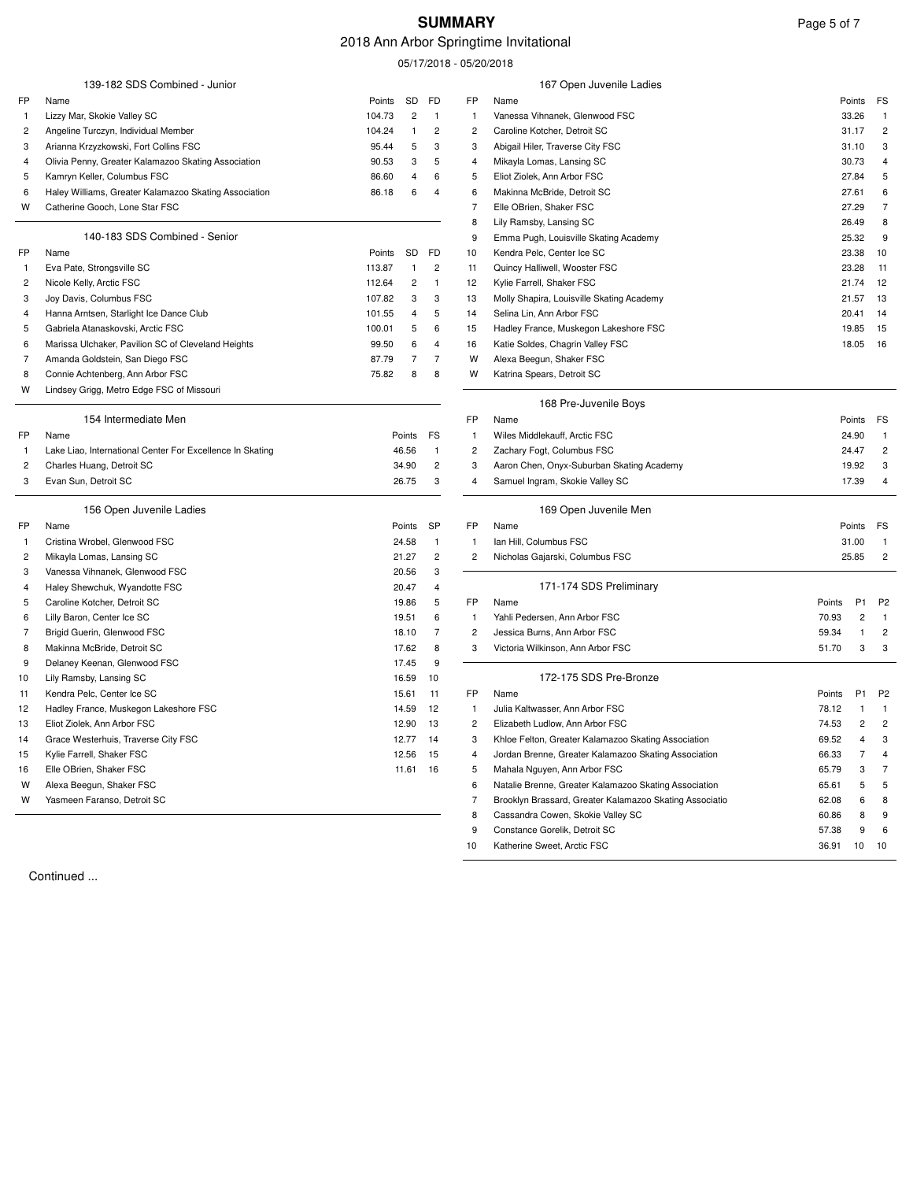# **SUMMARY** Page 5 of 7

# 2018 Ann Arbor Springtime Invitational

05/17/2018 - 05/20/2018

|              | 139-182 SDS Combined - Junior                             |        |                         |                         |                         | 167 Open Juvenile Ladies                                |        |                |                |
|--------------|-----------------------------------------------------------|--------|-------------------------|-------------------------|-------------------------|---------------------------------------------------------|--------|----------------|----------------|
| FP           | Name                                                      | Points | SD                      | FD                      | FP                      | Name                                                    |        | Points         | FS             |
| $\mathbf{1}$ | Lizzy Mar, Skokie Valley SC                               | 104.73 | $\overline{\mathbf{c}}$ | $\mathbf{1}$            | $\mathbf{1}$            | Vanessa Vihnanek, Glenwood FSC                          |        | 33.26          | $\overline{1}$ |
| 2            | Angeline Turczyn, Individual Member                       | 104.24 | 1                       | $\overline{2}$          | $\overline{2}$          | Caroline Kotcher, Detroit SC                            |        | 31.17          | $\overline{c}$ |
| 3            | Arianna Krzyzkowski, Fort Collins FSC                     | 95.44  | 5                       | 3                       | 3                       | Abigail Hiler, Traverse City FSC                        |        | 31.10          | 3              |
| 4            | Olivia Penny, Greater Kalamazoo Skating Association       | 90.53  | 3                       | 5                       | 4                       | Mikayla Lomas, Lansing SC                               |        | 30.73          | 4              |
| 5            | Kamryn Keller, Columbus FSC                               | 86.60  | $\overline{4}$          | 6                       | 5                       | Eliot Ziolek, Ann Arbor FSC                             |        | 27.84          | 5              |
| 6            | Haley Williams, Greater Kalamazoo Skating Association     | 86.18  | 6                       | $\overline{4}$          | 6                       | Makinna McBride, Detroit SC                             |        | 27.61          | 6              |
| W            | Catherine Gooch, Lone Star FSC                            |        |                         |                         | 7                       | Elle OBrien, Shaker FSC                                 |        | 27.29          | 7              |
|              |                                                           |        |                         |                         | 8                       | Lily Ramsby, Lansing SC                                 |        | 26.49          | 8              |
|              | 140-183 SDS Combined - Senior                             |        |                         |                         | 9                       | Emma Pugh, Louisville Skating Academy                   |        | 25.32          | 9              |
| FP           | Name                                                      | Points | SD                      | FD                      | 10                      | Kendra Pelc, Center Ice SC                              |        | 23.38          | 10             |
| $\mathbf{1}$ | Eva Pate, Strongsville SC                                 | 113.87 | 1                       | $\overline{c}$          | 11                      | Quincy Halliwell, Wooster FSC                           |        | 23.28          | 11             |
| 2            | Nicole Kelly, Arctic FSC                                  | 112.64 | $\overline{c}$          | -1                      | 12                      | Kylie Farrell, Shaker FSC                               |        | 21.74          | 12             |
| 3            | Joy Davis, Columbus FSC                                   | 107.82 | 3                       | 3                       | 13                      | Molly Shapira, Louisville Skating Academy               |        | 21.57          | 13             |
| 4            | Hanna Arntsen, Starlight Ice Dance Club                   | 101.55 | 4                       | 5                       | 14                      | Selina Lin, Ann Arbor FSC                               |        | 20.41          | 14             |
| 5            | Gabriela Atanaskovski, Arctic FSC                         | 100.01 | 5                       | 6                       | 15                      | Hadley France, Muskegon Lakeshore FSC                   |        | 19.85          | 15             |
| 6            | Marissa Ulchaker, Pavilion SC of Cleveland Heights        | 99.50  | 6                       | 4                       | 16                      | Katie Soldes, Chagrin Valley FSC                        |        | 18.05          | 16             |
| 7            | Amanda Goldstein, San Diego FSC                           | 87.79  | 7                       | $\overline{7}$          | W                       | Alexa Beegun, Shaker FSC                                |        |                |                |
| 8            | Connie Achtenberg, Ann Arbor FSC                          | 75.82  | 8                       | 8                       | W                       | Katrina Spears, Detroit SC                              |        |                |                |
| W            | Lindsey Grigg, Metro Edge FSC of Missouri                 |        |                         |                         |                         |                                                         |        |                |                |
|              |                                                           |        |                         |                         |                         | 168 Pre-Juvenile Boys                                   |        |                |                |
|              | 154 Intermediate Men                                      |        |                         |                         | FP                      | Name                                                    |        | Points         | FS             |
| FP           | Name                                                      |        | Points                  | FS                      | -1                      | Wiles Middlekauff, Arctic FSC                           |        | 24.90          | $\overline{1}$ |
| -1           | Lake Liao, International Center For Excellence In Skating |        | 46.56                   | $\mathbf{1}$            | $\overline{\mathbf{c}}$ | Zachary Fogt, Columbus FSC                              |        | 24.47          | $\overline{c}$ |
| 2            | Charles Huang, Detroit SC                                 |        | 34.90                   | $\overline{\mathbf{c}}$ | 3                       | Aaron Chen, Onyx-Suburban Skating Academy               |        | 19.92          | 3              |
| 3            | Evan Sun, Detroit SC                                      |        | 26.75                   | 3                       | 4                       | Samuel Ingram, Skokie Valley SC                         |        | 17.39          | 4              |
|              | 156 Open Juvenile Ladies                                  |        |                         |                         |                         | 169 Open Juvenile Men                                   |        |                |                |
| FP           | Name                                                      |        | Points                  | <b>SP</b>               | FP                      | Name                                                    |        | Points         | FS             |
| $\mathbf{1}$ | Cristina Wrobel, Glenwood FSC                             |        | 24.58                   | $\mathbf{1}$            | $\mathbf{1}$            | Ian Hill, Columbus FSC                                  |        | 31.00          | $\overline{1}$ |
| 2            | Mikayla Lomas, Lansing SC                                 |        | 21.27                   | $\overline{2}$          | 2                       | Nicholas Gajarski, Columbus FSC                         |        | 25.85          | $\overline{c}$ |
| 3            | Vanessa Vihnanek, Glenwood FSC                            |        | 20.56                   | 3                       |                         |                                                         |        |                |                |
| 4            | Haley Shewchuk, Wyandotte FSC                             |        | 20.47                   | 4                       |                         | 171-174 SDS Preliminary                                 |        |                |                |
| 5            | Caroline Kotcher, Detroit SC                              |        | 19.86                   | 5                       | FP                      | Name                                                    | Points | P <sub>1</sub> | P <sub>2</sub> |
| 6            | Lilly Baron, Center Ice SC                                |        | 19.51                   | 6                       | $\overline{1}$          | Yahli Pedersen, Ann Arbor FSC                           | 70.93  | 2              | $\overline{1}$ |
| 7            | Brigid Guerin, Glenwood FSC                               |        | 18.10                   | 7                       | 2                       | Jessica Burns, Ann Arbor FSC                            | 59.34  | -1             | 2              |
| 8            | Makinna McBride, Detroit SC                               |        | 17.62                   | 8                       | 3                       | Victoria Wilkinson, Ann Arbor FSC                       | 51.70  | 3              | 3              |
| 9            | Delaney Keenan, Glenwood FSC                              |        | 17.45                   | 9                       |                         |                                                         |        |                |                |
| 10           | Lily Ramsby, Lansing SC                                   |        | 16.59                   | 10                      |                         | 172-175 SDS Pre-Bronze                                  |        |                |                |
| 11           | Kendra Pelc, Center Ice SC                                |        | 15.61                   | 11                      | FP                      | Name                                                    | Points | P <sub>1</sub> | P <sub>2</sub> |
| 12           | Hadley France, Muskegon Lakeshore FSC                     |        | 14.59                   | 12                      | $\mathbf{1}$            | Julia Kaltwasser, Ann Arbor FSC                         | 78.12  |                | $\overline{1}$ |
| 13           | Eliot Ziolek, Ann Arbor FSC                               |        | 12.90                   | 13                      | 2                       | Elizabeth Ludlow, Ann Arbor FSC                         | 74.53  | $\overline{c}$ | 2              |
| 14           | Grace Westerhuis, Traverse City FSC                       |        | 12.77                   |                         | 3                       | Khloe Felton, Greater Kalamazoo Skating Association     | 69.52  | $\Lambda$      | $\mathbf{a}$   |
| 15           | Kylie Farrell, Shaker FSC                                 |        | 12.56                   | - 15                    | 4                       | Jordan Brenne, Greater Kalamazoo Skating Association    | 66.33  | 7              | 4              |
| 16           | Elle OBrien, Shaker FSC                                   |        | 11.61                   | 16                      | 5                       | Mahala Nguyen, Ann Arbor FSC                            | 65.79  | з              | 7              |
| W            | Alexa Beegun, Shaker FSC                                  |        |                         |                         | 6                       | Natalie Brenne, Greater Kalamazoo Skating Association   | 65.61  | 5              | 5              |
| W            | Yasmeen Faranso, Detroit SC                               |        |                         |                         | 7                       | Brooklyn Brassard, Greater Kalamazoo Skating Associatio | 62.08  | 6              | 8              |
|              |                                                           |        |                         |                         | 8                       | Cassandra Cowen, Skokie Valley SC                       | 60.86  | 8              | 9              |
|              |                                                           |        |                         |                         | 9                       | Constance Gorelik, Detroit SC                           | 57.38  | 9              | 6              |
|              |                                                           |        |                         |                         | 10                      | Katherine Sweet, Arctic FSC                             | 36.91  | 10             | 10             |

Continued ...

 $\overline{a}$ 

L.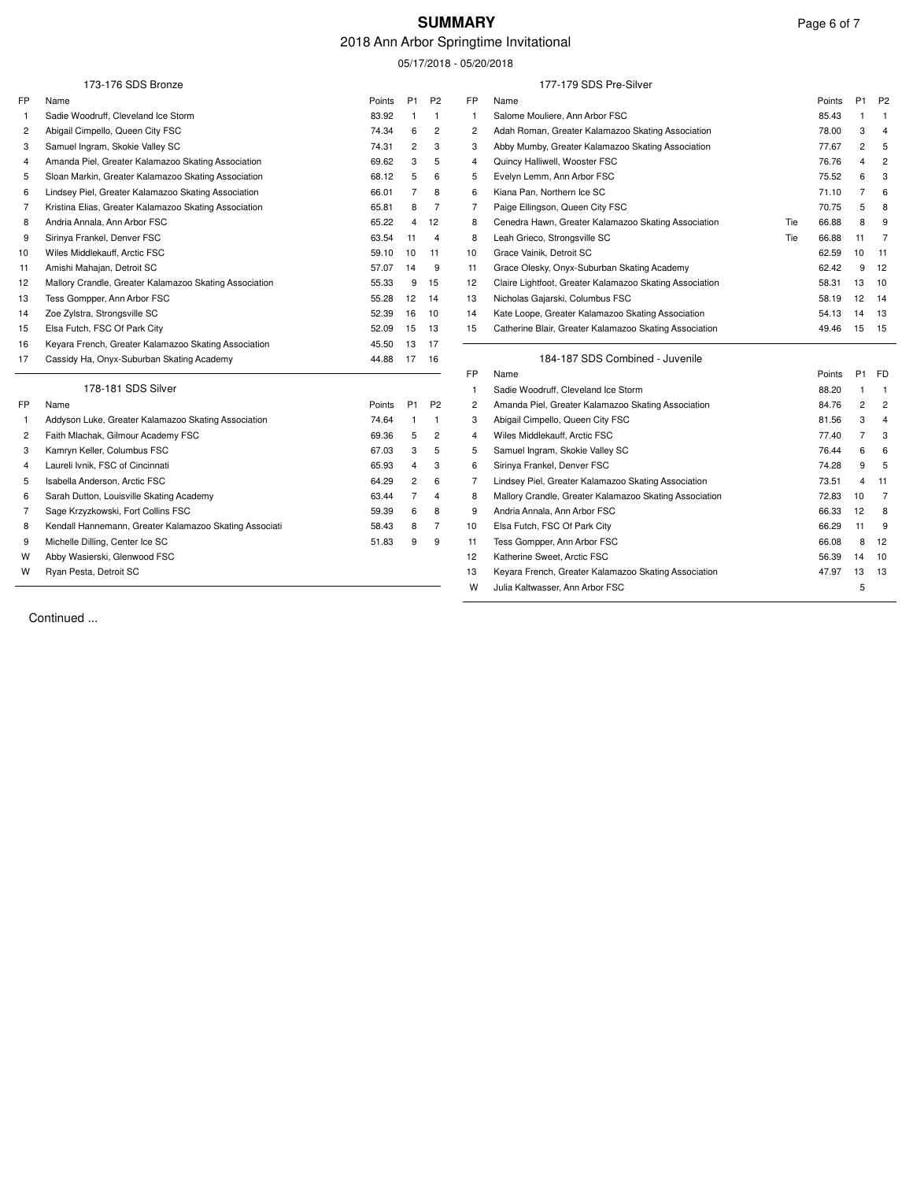# **SUMMARY** Page 6 of 7

# 2018 Ann Arbor Springtime Invitational

05/17/2018 - 05/20/2018

|    | 173-176 SDS Bronze                                     |               |                |                |                | 177-179 SDS Pre-Silver                                  |     |               |                |                |
|----|--------------------------------------------------------|---------------|----------------|----------------|----------------|---------------------------------------------------------|-----|---------------|----------------|----------------|
| FP | Name                                                   | <b>Points</b> | P <sub>1</sub> | P <sub>2</sub> | <b>FP</b>      | Name                                                    |     | <b>Points</b> | P <sub>1</sub> | <b>P2</b>      |
| -1 | Sadie Woodruff, Cleveland Ice Storm                    | 83.92         | -1             | $\overline{1}$ | -1             | Salome Mouliere, Ann Arbor FSC                          |     | 85.43         |                | -1             |
| 2  | Abigail Cimpello, Queen City FSC                       | 74.34         | 6              | 2              | $\overline{c}$ | Adah Roman, Greater Kalamazoo Skating Association       |     | 78.00         | 3              | $\overline{4}$ |
| 3  | Samuel Ingram, Skokie Valley SC                        | 74.31         | $\overline{c}$ | 3              | 3              | Abby Mumby, Greater Kalamazoo Skating Association       |     | 77.67         | $\overline{c}$ | 5              |
| 4  | Amanda Piel, Greater Kalamazoo Skating Association     | 69.62         | 3              | 5              | $\overline{4}$ | Quincy Halliwell, Wooster FSC                           |     | 76.76         | 4              | $\overline{2}$ |
| 5  | Sloan Markin, Greater Kalamazoo Skating Association    | 68.12         | 5              | 6              | 5              | Evelyn Lemm, Ann Arbor FSC                              |     | 75.52         | 6              | 3              |
| 6  | Lindsey Piel, Greater Kalamazoo Skating Association    | 66.01         | 7              | 8              | 6              | Kiana Pan, Northern Ice SC                              |     | 71.10         | 7              | 6              |
| 7  | Kristina Elias, Greater Kalamazoo Skating Association  | 65.81         | 8              | $\overline{7}$ | 7              | Paige Ellingson, Queen City FSC                         |     | 70.75         | 5              | 8              |
| 8  | Andria Annala, Ann Arbor FSC                           | 65.22         | $\overline{4}$ | 12             | 8              | Cenedra Hawn, Greater Kalamazoo Skating Association     | Tie | 66.88         | 8              | 9              |
| 9  | Sirinya Frankel, Denver FSC                            | 63.54         | 11             | $\overline{4}$ | 8              | Leah Grieco, Strongsville SC                            | Tie | 66.88         | 11             | 7              |
| 10 | Wiles Middlekauff, Arctic FSC                          | 59.10         | 10             | 11             | 10             | Grace Vainik, Detroit SC                                |     | 62.59         | 10             | 11             |
| 11 | Amishi Mahajan, Detroit SC                             | 57.07         | 14             | 9              | 11             | Grace Olesky, Onyx-Suburban Skating Academy             |     | 62.42         | 9              | 12             |
| 12 | Mallory Crandle, Greater Kalamazoo Skating Association | 55.33         | 9              | 15             | 12             | Claire Lightfoot, Greater Kalamazoo Skating Association |     | 58.31         | 13             | 10             |
| 13 | Tess Gompper, Ann Arbor FSC                            | 55.28         | 12             | 14             | 13             | Nicholas Gajarski, Columbus FSC                         |     | 58.19         | 12             | 14             |
| 14 | Zoe Zylstra, Strongsville SC                           | 52.39         | 16             | 10             | 14             | Kate Loope, Greater Kalamazoo Skating Association       |     | 54.13         | 14             | 13             |
| 15 | Elsa Futch, FSC Of Park City                           | 52.09         | 15             | 13             | 15             | Catherine Blair, Greater Kalamazoo Skating Association  |     | 49.46         | 15             | 15             |
| 16 | Keyara French, Greater Kalamazoo Skating Association   | 45.50         | 13             | 17             |                |                                                         |     |               |                |                |
| 17 | Cassidy Ha, Onyx-Suburban Skating Academy              | 44.88         | - 17           | 16             |                | 184-187 SDS Combined - Juvenile                         |     |               |                |                |
|    |                                                        |               |                |                | <b>FP</b>      | Name                                                    |     | Points        | P <sub>1</sub> | FD             |
|    | 178-181 SDS Silver                                     |               |                |                | -1             | Sadie Woodruff, Cleveland Ice Storm                     |     | 88.20         |                | -1             |
| FP | Name                                                   | Points        | P <sub>1</sub> | P <sub>2</sub> | $\overline{2}$ | Amanda Piel, Greater Kalamazoo Skating Association      |     | 84.76         | 2              | $\overline{2}$ |
| -1 | Addyson Luke, Greater Kalamazoo Skating Association    | 74.64         | -1             | $\overline{1}$ | 3              | Abigail Cimpello, Queen City FSC                        |     | 81.56         | 3              | $\overline{4}$ |
| 2  | Faith Mlachak, Gilmour Academy FSC                     | 69.36         | 5              | 2              | 4              | Wiles Middlekauff, Arctic FSC                           |     | 77.40         | 7              | 3              |
| 3  | Kamryn Keller, Columbus FSC                            | 67.03         | 3              | 5              | 5              | Samuel Ingram, Skokie Valley SC                         |     | 76.44         | 6              | 6              |
| 4  | Laureli Ivnik, FSC of Cincinnati                       | 65.93         | 4              | 3              | 6              | Sirinya Frankel, Denver FSC                             |     | 74.28         | 9              | 5              |
| 5  | Isabella Anderson, Arctic FSC                          | 64.29         | $\overline{c}$ | 6              | 7              | Lindsey Piel, Greater Kalamazoo Skating Association     |     | 73.51         | $\overline{4}$ | 11             |
| 6  | Sarah Dutton, Louisville Skating Academy               | 63.44         | $\overline{7}$ | 4              | 8              | Mallory Crandle, Greater Kalamazoo Skating Association  |     | 72.83         | 10             | 7              |
| 7  | Sage Krzyzkowski, Fort Collins FSC                     | 59.39         | 6              | 8              | 9              | Andria Annala, Ann Arbor FSC                            |     | 66.33         | 12             | 8              |
| 8  | Kendall Hannemann, Greater Kalamazoo Skating Associati | 58.43         | 8              | $\overline{7}$ | 10             | Elsa Futch, FSC Of Park City                            |     | 66.29         | 11             | 9              |
| 9  | Michelle Dilling, Center Ice SC                        | 51.83         | 9              | 9              | 11             | Tess Gompper, Ann Arbor FSC                             |     | 66.08         | 8              | 12             |
| W  | Abby Wasierski, Glenwood FSC                           |               |                |                | 12             | Katherine Sweet, Arctic FSC                             |     | 56.39         | 14             | 10             |
| W  | Ryan Pesta, Detroit SC                                 |               |                |                | 13             | Keyara French, Greater Kalamazoo Skating Association    |     | 47.97         | 13             | 13             |
|    |                                                        |               |                |                | W              | Julia Kaltwasser, Ann Arbor FSC                         |     |               | 5              |                |

Continued ...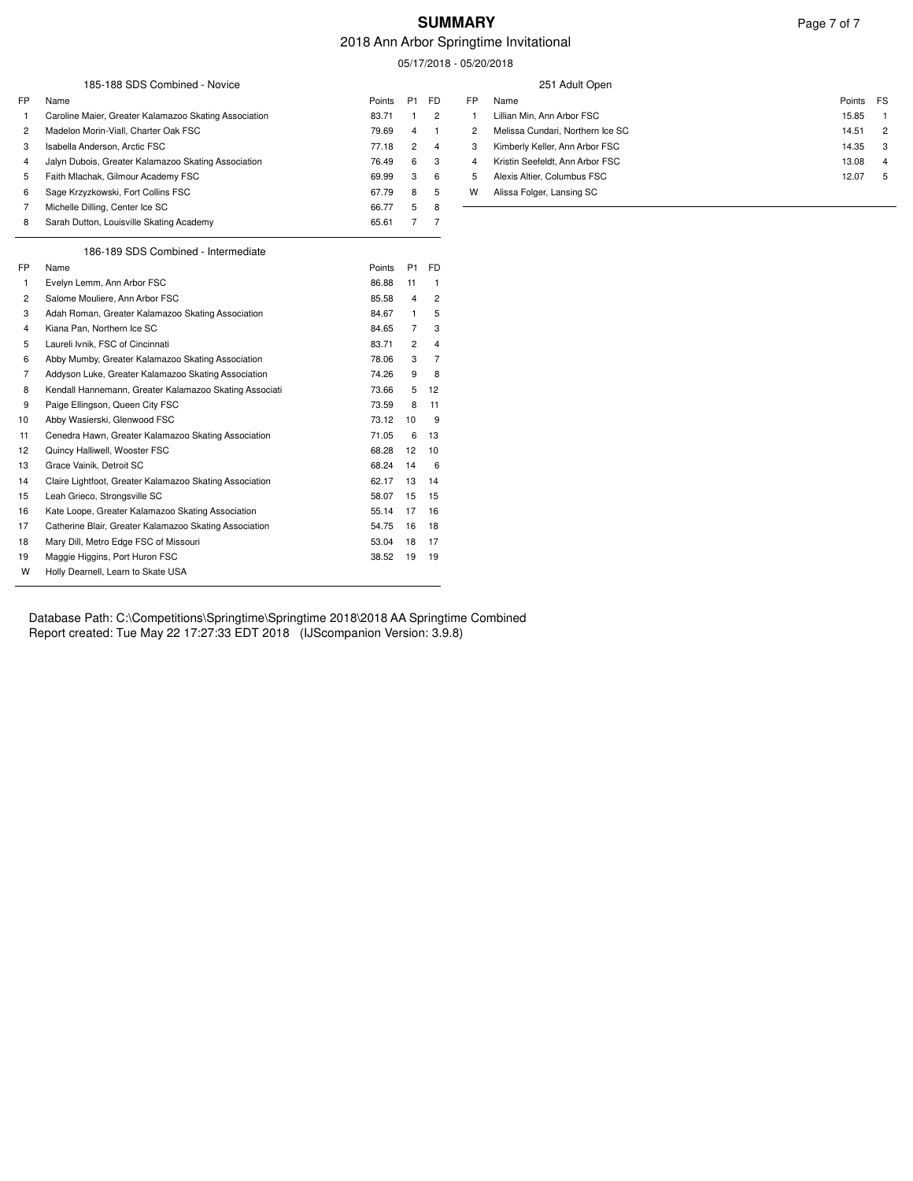### **SUMMARY** Page 7 of 7

#### 2018 Ann Arbor Springtime Invitational

05/17/2018 - 05/20/2018

|                |                                                         |        |                |                | $001 - 01 - 01$ |                                  |                         |
|----------------|---------------------------------------------------------|--------|----------------|----------------|-----------------|----------------------------------|-------------------------|
|                | 185-188 SDS Combined - Novice                           |        |                |                |                 | 251 Adult Open                   |                         |
| FP             | Name                                                    | Points | P <sub>1</sub> | <b>FD</b>      | <b>FP</b>       | Name                             | Points<br>FS            |
|                | Caroline Maier, Greater Kalamazoo Skating Association   | 83.71  |                | $\overline{c}$ |                 | Lillian Min, Ann Arbor FSC       | 15.85<br>$\mathbf{1}$   |
| 2              | Madelon Morin-Viall, Charter Oak FSC                    | 79.69  | 4              | -1             | $\overline{2}$  | Melissa Cundari, Northern Ice SC | 14.51<br>$\overline{c}$ |
| 3              | Isabella Anderson, Arctic FSC                           | 77.18  | $\overline{c}$ | $\overline{4}$ | 3               | Kimberly Keller, Ann Arbor FSC   | 14.35<br>3              |
| 4              | Jalyn Dubois, Greater Kalamazoo Skating Association     | 76.49  | 6              | 3              | 4               | Kristin Seefeldt, Ann Arbor FSC  | 13.08<br>4              |
| 5              | Faith Mlachak, Gilmour Academy FSC                      | 69.99  | 3              | 6              | 5               | Alexis Altier, Columbus FSC      | 12.07<br>5              |
| 6              | Sage Krzyzkowski, Fort Collins FSC                      | 67.79  | 8              | 5              | W               | Alissa Folger, Lansing SC        |                         |
| 7              | Michelle Dilling, Center Ice SC                         | 66.77  | 5              | 8              |                 |                                  |                         |
| 8              | Sarah Dutton, Louisville Skating Academy                | 65.61  | $\overline{7}$ | $\overline{7}$ |                 |                                  |                         |
|                | 186-189 SDS Combined - Intermediate                     |        |                |                |                 |                                  |                         |
| FP             | Name                                                    | Points | P <sub>1</sub> | <b>FD</b>      |                 |                                  |                         |
| -1             | Evelyn Lemm, Ann Arbor FSC                              | 86.88  | 11             | -1             |                 |                                  |                         |
| $\overline{c}$ | Salome Mouliere, Ann Arbor FSC                          | 85.58  | $\overline{4}$ | $\overline{c}$ |                 |                                  |                         |
| 3              | Adah Roman, Greater Kalamazoo Skating Association       | 84.67  |                | 5              |                 |                                  |                         |
| 4              | Kiana Pan, Northern Ice SC                              | 84.65  | 7              | 3              |                 |                                  |                         |
| 5              | Laureli Ivnik, FSC of Cincinnati                        | 83.71  | $\overline{2}$ | $\overline{4}$ |                 |                                  |                         |
| 6              | Abby Mumby, Greater Kalamazoo Skating Association       | 78.06  | 3              | $\overline{7}$ |                 |                                  |                         |
| 7              | Addyson Luke, Greater Kalamazoo Skating Association     | 74.26  | 9              | 8              |                 |                                  |                         |
| 8              | Kendall Hannemann, Greater Kalamazoo Skating Associati  | 73.66  | 5              | 12             |                 |                                  |                         |
| 9              | Paige Ellingson, Queen City FSC                         | 73.59  | 8              | 11             |                 |                                  |                         |
| 10             | Abby Wasierski, Glenwood FSC                            | 73.12  | 10             | 9              |                 |                                  |                         |
| -11            | Cenedra Hawn, Greater Kalamazoo Skating Association     | 71.05  | 6              | 13             |                 |                                  |                         |
| 12             | Quincy Halliwell, Wooster FSC                           | 68.28  | 12             | 10             |                 |                                  |                         |
| 13             | Grace Vainik, Detroit SC                                | 68.24  | 14             | 6              |                 |                                  |                         |
| 14             | Claire Lightfoot, Greater Kalamazoo Skating Association | 62.17  | 13             | 14             |                 |                                  |                         |
| 15             | Leah Grieco, Strongsville SC                            | 58.07  | 15             | 15             |                 |                                  |                         |
| 16             | Kate Loope, Greater Kalamazoo Skating Association       | 55.14  | 17             | 16             |                 |                                  |                         |
| 17             | Catherine Blair, Greater Kalamazoo Skating Association  | 54.75  | 16             | 18             |                 |                                  |                         |
| 18             | Mary Dill, Metro Edge FSC of Missouri                   | 53.04  | 18             | 17             |                 |                                  |                         |
| 19             | Maggie Higgins, Port Huron FSC                          | 38.52  | 19             | 19             |                 |                                  |                         |
| W              | Holly Dearnell, Learn to Skate USA                      |        |                |                |                 |                                  |                         |

Database Path: C:\Competitions\Springtime\Springtime 2018\2018 AA Springtime Combined Report created: Tue May 22 17:27:33 EDT 2018 (IJScompanion Version: 3.9.8)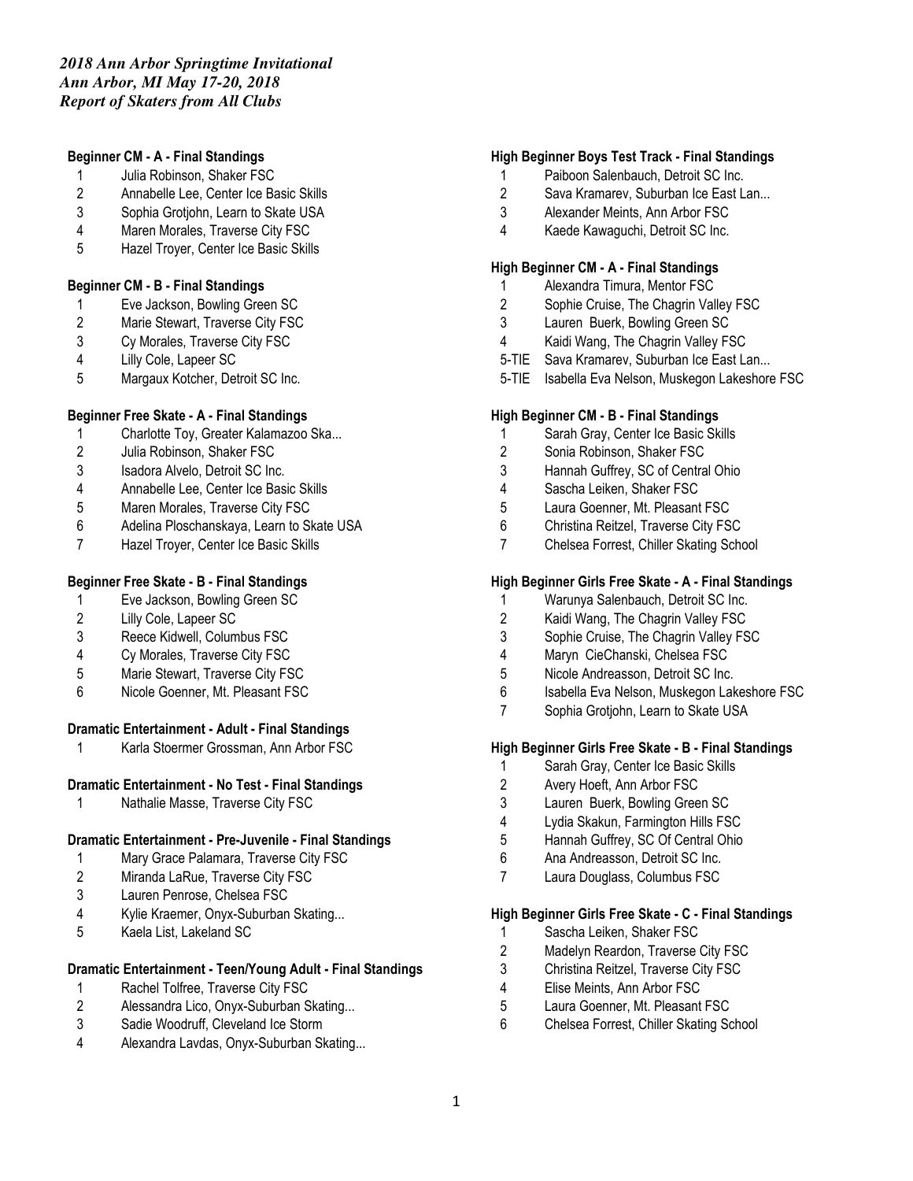### **Beginner CM - A - Final Standings**

- 1 Julia Robinson, Shaker FSC
- 2 Annabelle Lee, Center Ice Basic Skills
- 3 Sophia Grotjohn, Learn to Skate USA
- 4 Maren Morales, Traverse City FSC
- 5 Hazel Troyer, Center Ice Basic Skills

#### **Beginner CM - B - Final Standings**

- 1 Eve Jackson, Bowling Green SC<br>2 Marie Stewart. Traverse City FSC
- Marie Stewart, Traverse City FSC
- 3 Cy Morales, Traverse City FSC
- 4 Lilly Cole, Lapeer SC
- 5 Margaux Kotcher, Detroit SC Inc.

### **Beginner Free Skate - A - Final Standings**

- 1 Charlotte Toy, Greater Kalamazoo Ska...
- 2 Julia Robinson, Shaker FSC
- 3 Isadora Alvelo, Detroit SC Inc.
- 4 Annabelle Lee, Center Ice Basic Skills
- 5 Maren Morales, Traverse City FSC
- 6 Adelina Ploschanskaya, Learn to Skate USA
- 7 Hazel Troyer, Center Ice Basic Skills

### **Beginner Free Skate - B - Final Standings**

- 1 Eve Jackson, Bowling Green SC
- 2 Lilly Cole, Lapeer SC
- 3 Reece Kidwell, Columbus FSC
- 4 Cy Morales, Traverse City FSC
- 5 Marie Stewart, Traverse City FSC
- 6 Nicole Goenner, Mt. Pleasant FSC

### **Dramatic Entertainment - Adult - Final Standings**

1 Karla Stoermer Grossman, Ann Arbor FSC

### **Dramatic Entertainment - No Test - Final Standings**

1 Nathalie Masse, Traverse City FSC

### **Dramatic Entertainment - Pre-Juvenile - Final Standings**

- 1 Mary Grace Palamara, Traverse City FSC
- 2 Miranda LaRue, Traverse City FSC
- 3 Lauren Penrose, Chelsea FSC
- 4 Kylie Kraemer, Onyx-Suburban Skating...
- 5 Kaela List, Lakeland SC

### **Dramatic Entertainment - Teen/Young Adult - Final Standings**

- 1 Rachel Tolfree, Traverse City FSC
- 2 Alessandra Lico, Onyx-Suburban Skating...
- 3 Sadie Woodruff, Cleveland Ice Storm
- 4 Alexandra Lavdas, Onyx-Suburban Skating...

### **High Beginner Boys Test Track - Final Standings**

- 1 Paiboon Salenbauch, Detroit SC Inc.
- 2 Sava Kramarev, Suburban Ice East Lan...
- 3 Alexander Meints, Ann Arbor FSC
- 4 Kaede Kawaguchi, Detroit SC Inc.

### **High Beginner CM - A - Final Standings**

- 1 Alexandra Timura, Mentor FSC
- 2 Sophie Cruise, The Chagrin Valley FSC
- 3 Lauren Buerk, Bowling Green SC
- 4 Kaidi Wang, The Chagrin Valley FSC
- 5-TIE Sava Kramarev, Suburban Ice East Lan...
- 5-TIE Isabella Eva Nelson, Muskegon Lakeshore FSC

### **High Beginner CM - B - Final Standings**

- 1 Sarah Gray, Center Ice Basic Skills
- 2 Sonia Robinson, Shaker FSC
- 3 Hannah Guffrey, SC of Central Ohio
- 4 Sascha Leiken, Shaker FSC
- 5 Laura Goenner, Mt. Pleasant FSC
- 6 Christina Reitzel, Traverse City FSC
- 7 Chelsea Forrest, Chiller Skating School

#### **High Beginner Girls Free Skate - A - Final Standings**

- 1 Warunya Salenbauch, Detroit SC Inc.<br>2 Kaidi Wang. The Chagrin Valley FSC
- Kaidi Wang, The Chagrin Valley FSC
- 3 Sophie Cruise, The Chagrin Valley FSC
- 4 Maryn CieChanski, Chelsea FSC
- 5 Nicole Andreasson, Detroit SC Inc.
- 6 Isabella Eva Nelson, Muskegon Lakeshore FSC
- 7 Sophia Grotjohn, Learn to Skate USA

### **High Beginner Girls Free Skate - B - Final Standings**

- 1 Sarah Gray, Center Ice Basic Skills
- 2 Avery Hoeft, Ann Arbor FSC
- 3 Lauren Buerk, Bowling Green SC
- 4 Lydia Skakun, Farmington Hills FSC
- 5 Hannah Guffrey, SC Of Central Ohio
- 6 Ana Andreasson, Detroit SC Inc.
- 7 Laura Douglass, Columbus FSC

#### **High Beginner Girls Free Skate - C - Final Standings**

- 1 Sascha Leiken, Shaker FSC
- 2 Madelyn Reardon, Traverse City FSC
- 3 Christina Reitzel, Traverse City FSC
- 4 Elise Meints, Ann Arbor FSC
- 5 Laura Goenner, Mt. Pleasant FSC
- 6 Chelsea Forrest, Chiller Skating School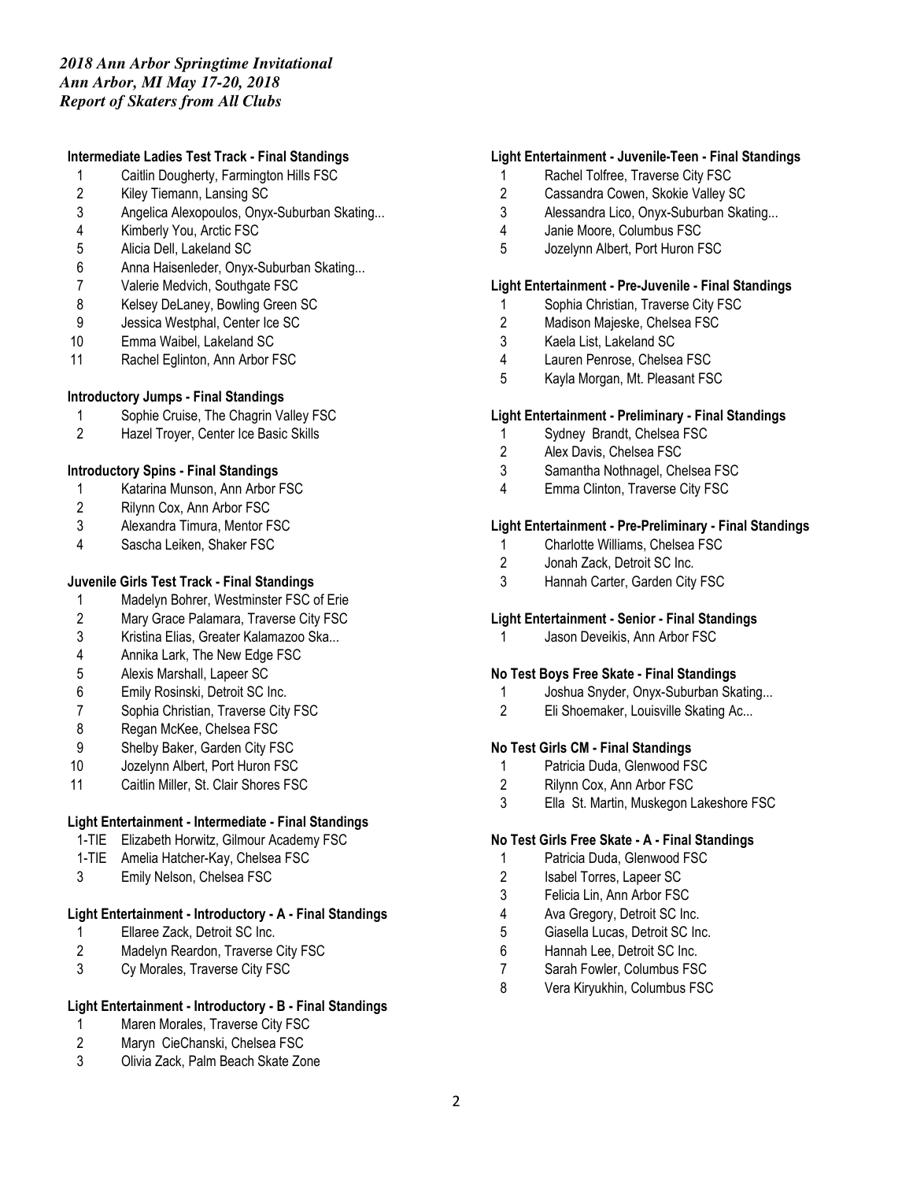### **Intermediate Ladies Test Track - Final Standings**

- 1 Caitlin Dougherty, Farmington Hills FSC
- 2 Kiley Tiemann, Lansing SC
- 3 Angelica Alexopoulos, Onyx-Suburban Skating...
- 4 Kimberly You, Arctic FSC
- 5 Alicia Dell, Lakeland SC
- 6 Anna Haisenleder, Onyx-Suburban Skating...
- 7 Valerie Medvich, Southgate FSC
- 8 Kelsey DeLaney, Bowling Green SC
- 9 Jessica Westphal, Center Ice SC
- 10 Emma Waibel, Lakeland SC
- 11 Rachel Eglinton, Ann Arbor FSC

### **Introductory Jumps - Final Standings**

- 1 Sophie Cruise, The Chagrin Valley FSC
- 2 Hazel Troyer, Center Ice Basic Skills

### **Introductory Spins - Final Standings**

- 1 Katarina Munson, Ann Arbor FSC
- 2 Rilynn Cox, Ann Arbor FSC
- 3 Alexandra Timura, Mentor FSC
- 4 Sascha Leiken, Shaker FSC

# **Juvenile Girls Test Track - Final Standings**

- 1 Madelyn Bohrer, Westminster FSC of Erie
- 2 Mary Grace Palamara, Traverse City FSC
- 3 Kristina Elias, Greater Kalamazoo Ska...
- 4 Annika Lark, The New Edge FSC
- 5 Alexis Marshall, Lapeer SC
- 6 Emily Rosinski, Detroit SC Inc.
- 7 Sophia Christian, Traverse City FSC
- 8 Regan McKee, Chelsea FSC
- 9 Shelby Baker, Garden City FSC
- 10 Jozelynn Albert, Port Huron FSC
- 11 Caitlin Miller, St. Clair Shores FSC

# **Light Entertainment - Intermediate - Final Standings**

- 1-TIE Elizabeth Horwitz, Gilmour Academy FSC
- 1-TIE Amelia Hatcher-Kay, Chelsea FSC
- 3 Emily Nelson, Chelsea FSC

### **Light Entertainment - Introductory - A - Final Standings**

- 1 Ellaree Zack, Detroit SC Inc.
- 2 Madelyn Reardon, Traverse City FSC
- 3 Cy Morales, Traverse City FSC

# **Light Entertainment - Introductory - B - Final Standings**

- 1 Maren Morales, Traverse City FSC<br>2 Maryn CieChanski, Chelsea FSC
- Maryn CieChanski, Chelsea FSC
- 3 Olivia Zack, Palm Beach Skate Zone

### **Light Entertainment - Juvenile-Teen - Final Standings**

- 1 Rachel Tolfree, Traverse City FSC
- 2 Cassandra Cowen, Skokie Valley SC
- 3 Alessandra Lico, Onyx-Suburban Skating...
- 4 Janie Moore, Columbus FSC
- 5 Jozelynn Albert, Port Huron FSC

### **Light Entertainment - Pre-Juvenile - Final Standings**

- 1 Sophia Christian, Traverse City FSC<br>2 Madison Maieske. Chelsea FSC
- Madison Majeske, Chelsea FSC
- 3 Kaela List, Lakeland SC
- 4 Lauren Penrose, Chelsea FSC
- 5 Kayla Morgan, Mt. Pleasant FSC

### **Light Entertainment - Preliminary - Final Standings**

- 1 Sydney Brandt, Chelsea FSC<br>2 Alex Davis. Chelsea FSC
- Alex Davis, Chelsea FSC
- 3 Samantha Nothnagel, Chelsea FSC
- 4 Emma Clinton, Traverse City FSC

### **Light Entertainment - Pre-Preliminary - Final Standings**

- 1 Charlotte Williams, Chelsea FSC
- 2 Jonah Zack, Detroit SC Inc.
- 3 Hannah Carter, Garden City FSC

### **Light Entertainment - Senior - Final Standings**

1 Jason Deveikis, Ann Arbor FSC

### **No Test Boys Free Skate - Final Standings**

- 1 Joshua Snyder, Onyx-Suburban Skating...
- 2 Eli Shoemaker, Louisville Skating Ac...

### **No Test Girls CM - Final Standings**

- 1 Patricia Duda, Glenwood FSC
- 2 Rilynn Cox, Ann Arbor FSC
- 3 Ella St. Martin, Muskegon Lakeshore FSC

### **No Test Girls Free Skate - A - Final Standings**

- 1 Patricia Duda, Glenwood FSC
- 2 Isabel Torres, Lapeer SC
- 3 Felicia Lin, Ann Arbor FSC
- 4 Ava Gregory, Detroit SC Inc.
- 5 Giasella Lucas, Detroit SC Inc.
- 6 Hannah Lee, Detroit SC Inc.
- 7 Sarah Fowler, Columbus FSC
- 8 Vera Kiryukhin, Columbus FSC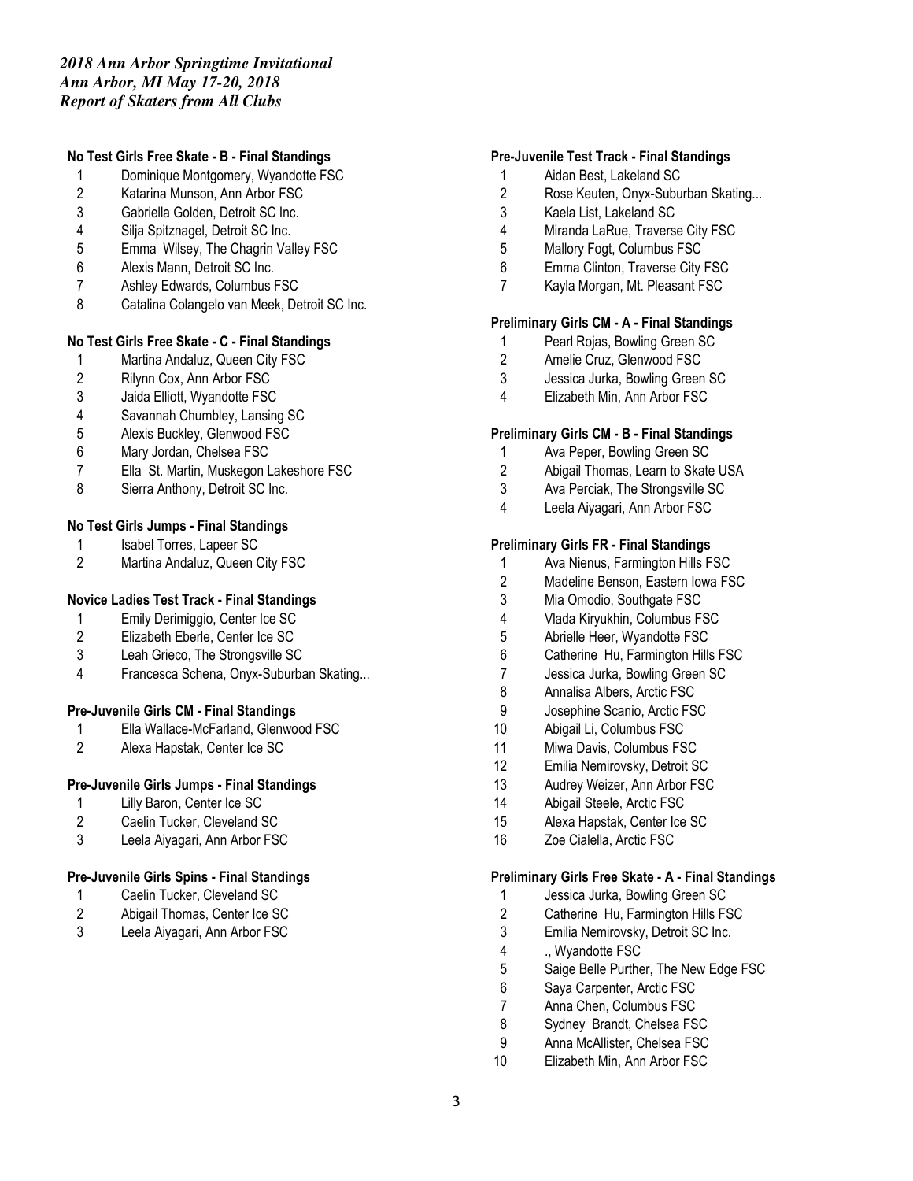# *2018 Ann Arbor Springtime Invitational Ann Arbor, MI May 17-20, 2018 Report of Skaters from All Clubs*

### **No Test Girls Free Skate - B - Final Standings**

- 1 Dominique Montgomery, Wyandotte FSC
- 2 Katarina Munson, Ann Arbor FSC
- 3 Gabriella Golden, Detroit SC Inc.
- 4 Silja Spitznagel, Detroit SC Inc.
- 5 Emma Wilsey, The Chagrin Valley FSC
- 6 Alexis Mann, Detroit SC Inc.
- 7 Ashley Edwards, Columbus FSC
- 8 Catalina Colangelo van Meek, Detroit SC Inc.

### **No Test Girls Free Skate - C - Final Standings**

- 1 Martina Andaluz, Queen City FSC
- 2 Rilynn Cox, Ann Arbor FSC
- 3 Jaida Elliott, Wyandotte FSC
- 4 Savannah Chumbley, Lansing SC
- 5 Alexis Buckley, Glenwood FSC
- 6 Mary Jordan, Chelsea FSC
- 7 Ella St. Martin, Muskegon Lakeshore FSC
- 8 Sierra Anthony, Detroit SC Inc.

### **No Test Girls Jumps - Final Standings**

- 1 Isabel Torres, Lapeer SC<br>2 Martina Andaluz. Queen C
- Martina Andaluz, Queen City FSC

### **Novice Ladies Test Track - Final Standings**

- 1 Emily Derimiggio, Center Ice SC
- 2 Elizabeth Eberle, Center Ice SC
- 3 Leah Grieco, The Strongsville SC
- 4 Francesca Schena, Onyx-Suburban Skating...

### **Pre-Juvenile Girls CM - Final Standings**

- 1 Ella Wallace-McFarland, Glenwood FSC
- 2 Alexa Hapstak, Center Ice SC

### **Pre-Juvenile Girls Jumps - Final Standings**

- 1 Lilly Baron, Center Ice SC
- 2 Caelin Tucker, Cleveland SC
- 3 Leela Aiyagari, Ann Arbor FSC

### **Pre-Juvenile Girls Spins - Final Standings**

- 1 Caelin Tucker, Cleveland SC
- 2 Abigail Thomas, Center Ice SC
- 3 Leela Aiyagari, Ann Arbor FSC

#### **Pre-Juvenile Test Track - Final Standings**

- 1 Aidan Best, Lakeland SC
- 2 Rose Keuten, Onyx-Suburban Skating...
- 3 Kaela List, Lakeland SC
- 4 Miranda LaRue, Traverse City FSC
- 5 Mallory Fogt, Columbus FSC
- 6 Emma Clinton, Traverse City FSC
- 7 Kayla Morgan, Mt. Pleasant FSC

### **Preliminary Girls CM - A - Final Standings**

- 1 Pearl Rojas, Bowling Green SC
- 2 Amelie Cruz, Glenwood FSC<br>3 Jessica Jurka. Bowling Green
- Jessica Jurka, Bowling Green SC
- 4 Elizabeth Min, Ann Arbor FSC

#### **Preliminary Girls CM - B - Final Standings**

- 1 Ava Peper, Bowling Green SC
- 2 Abigail Thomas, Learn to Skate USA
- 3 Ava Perciak, The Strongsville SC
- 4 Leela Aiyagari, Ann Arbor FSC

#### **Preliminary Girls FR - Final Standings**

- 1 Ava Nienus, Farmington Hills FSC
- 2 Madeline Benson, Eastern Iowa FSC
- 3 Mia Omodio, Southgate FSC
- 4 Vlada Kiryukhin, Columbus FSC
- 5 Abrielle Heer, Wyandotte FSC
- 6 Catherine Hu, Farmington Hills FSC
- 7 Jessica Jurka, Bowling Green SC
- 8 Annalisa Albers, Arctic FSC
- 9 Josephine Scanio, Arctic FSC
- 10 Abigail Li, Columbus FSC
- 11 Miwa Davis, Columbus FSC
- 12 Emilia Nemirovsky, Detroit SC
- 13 Audrey Weizer, Ann Arbor FSC
- 14 Abigail Steele, Arctic FSC
- 15 Alexa Hapstak, Center Ice SC
- 16 Zoe Cialella, Arctic FSC

#### **Preliminary Girls Free Skate - A - Final Standings**

- 1 Jessica Jurka, Bowling Green SC
- 2 Catherine Hu, Farmington Hills FSC
- 3 Emilia Nemirovsky, Detroit SC Inc.
- 4 ., Wyandotte FSC
- 5 Saige Belle Purther, The New Edge FSC
- 6 Saya Carpenter, Arctic FSC
- 7 Anna Chen, Columbus FSC
- 8 Sydney Brandt, Chelsea FSC
- 9 Anna McAllister, Chelsea FSC
- 10 Elizabeth Min, Ann Arbor FSC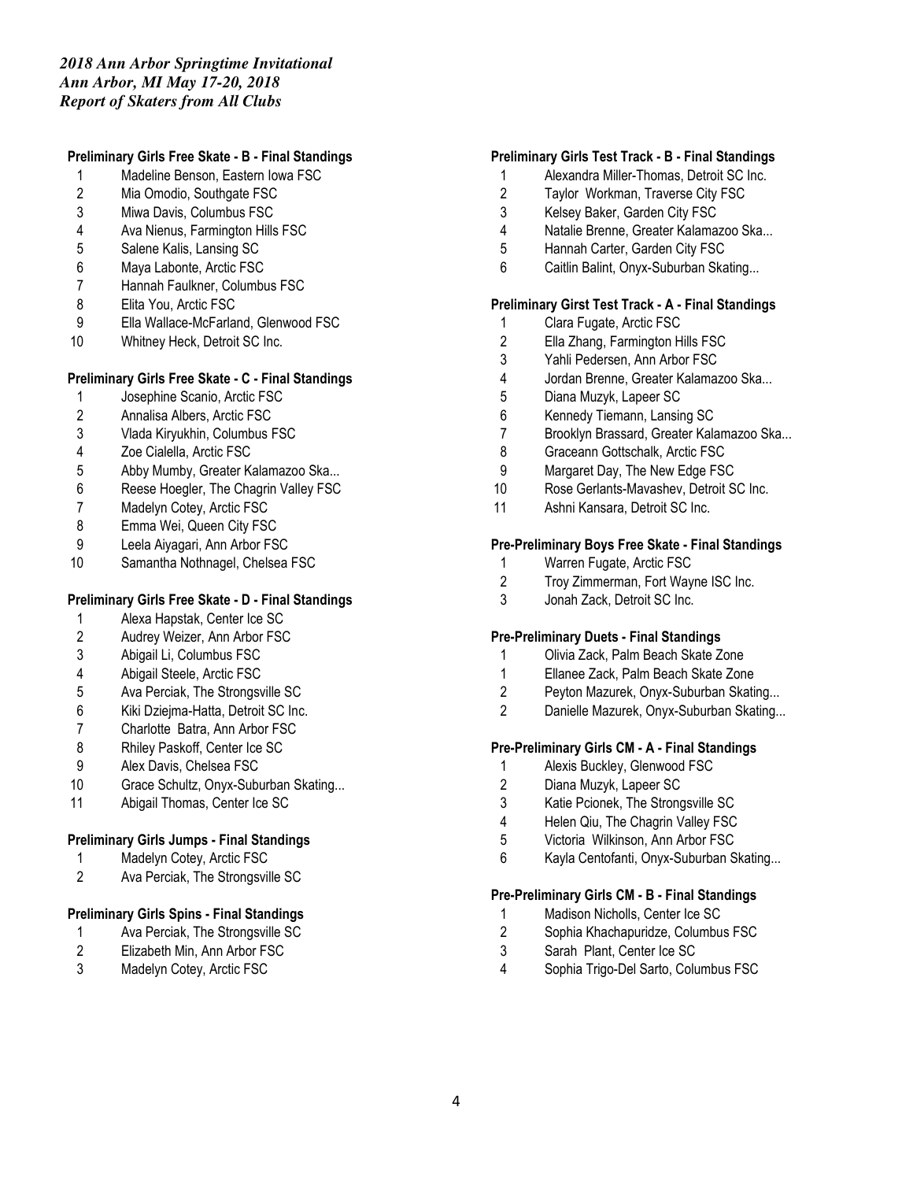# *2018 Ann Arbor Springtime Invitational Ann Arbor, MI May 17-20, 2018 Report of Skaters from All Clubs*

### **Preliminary Girls Free Skate - B - Final Standings**

- 1 Madeline Benson, Eastern Iowa FSC
- 2 Mia Omodio, Southgate FSC
- 3 Miwa Davis, Columbus FSC
- 4 Ava Nienus, Farmington Hills FSC
- 5 Salene Kalis, Lansing SC
- 6 Maya Labonte, Arctic FSC
- 7 Hannah Faulkner, Columbus FSC
- 8 Elita You, Arctic FSC
- 9 Ella Wallace-McFarland, Glenwood FSC
- 10 Whitney Heck, Detroit SC Inc.

### **Preliminary Girls Free Skate - C - Final Standings**

- 1 Josephine Scanio, Arctic FSC
- 2 Annalisa Albers, Arctic FSC
- 3 Vlada Kiryukhin, Columbus FSC
- 4 Zoe Cialella, Arctic FSC
- 5 Abby Mumby, Greater Kalamazoo Ska...
- 6 Reese Hoegler, The Chagrin Valley FSC
- 7 Madelyn Cotey, Arctic FSC
- 8 Emma Wei, Queen City FSC
- 9 Leela Aiyagari, Ann Arbor FSC
- 10 Samantha Nothnagel, Chelsea FSC

# **Preliminary Girls Free Skate - D - Final Standings**

- 1 Alexa Hapstak, Center Ice SC
- 2 Audrey Weizer, Ann Arbor FSC
- 3 Abigail Li, Columbus FSC
- 4 Abigail Steele, Arctic FSC
- 5 Ava Perciak, The Strongsville SC
- 6 Kiki Dziejma-Hatta, Detroit SC Inc.
- 7 Charlotte Batra, Ann Arbor FSC
- 8 Rhiley Paskoff, Center Ice SC
- 9 Alex Davis, Chelsea FSC
- 10 Grace Schultz, Onyx-Suburban Skating...
- 11 Abigail Thomas, Center Ice SC

# **Preliminary Girls Jumps - Final Standings**

- 1 Madelyn Cotey, Arctic FSC
- 2 Ava Perciak, The Strongsville SC

# **Preliminary Girls Spins - Final Standings**

- 1 Ava Perciak, The Strongsville SC
- 2 Elizabeth Min, Ann Arbor FSC
- 3 Madelyn Cotey, Arctic FSC

### **Preliminary Girls Test Track - B - Final Standings**

- 1 Alexandra Miller-Thomas, Detroit SC Inc.
- 2 Taylor Workman, Traverse City FSC
- 3 Kelsey Baker, Garden City FSC
- 4 Natalie Brenne, Greater Kalamazoo Ska...
- 5 Hannah Carter, Garden City FSC
- 6 Caitlin Balint, Onyx-Suburban Skating...

# **Preliminary Girst Test Track - A - Final Standings**

- 1 Clara Fugate, Arctic FSC
- 2 Ella Zhang, Farmington Hills FSC
- 3 Yahli Pedersen, Ann Arbor FSC
- 4 Jordan Brenne, Greater Kalamazoo Ska...
- 5 Diana Muzyk, Lapeer SC
- 6 Kennedy Tiemann, Lansing SC
- 7 Brooklyn Brassard, Greater Kalamazoo Ska...
- 8 Graceann Gottschalk, Arctic FSC
- 9 Margaret Day, The New Edge FSC
- 10 Rose Gerlants-Mavashev, Detroit SC Inc.
- 11 Ashni Kansara, Detroit SC Inc.

### **Pre-Preliminary Boys Free Skate - Final Standings**

- 1 Warren Fugate, Arctic FSC
- 2 Troy Zimmerman, Fort Wayne ISC Inc.
- 3 Jonah Zack, Detroit SC Inc.

### **Pre-Preliminary Duets - Final Standings**

- 1 Olivia Zack, Palm Beach Skate Zone
- 1 Ellanee Zack, Palm Beach Skate Zone<br>2 Peyton Mazurek, Onyx-Suburban Skati
- Peyton Mazurek, Onyx-Suburban Skating...
- 2 Danielle Mazurek, Onyx-Suburban Skating...

### **Pre-Preliminary Girls CM - A - Final Standings**

- 1 Alexis Buckley, Glenwood FSC
- 2 Diana Muzyk, Lapeer SC
- 3 Katie Pcionek, The Strongsville SC
- 4 Helen Qiu, The Chagrin Valley FSC
- 5 Victoria Wilkinson, Ann Arbor FSC
- 6 Kayla Centofanti, Onyx-Suburban Skating...

### **Pre-Preliminary Girls CM - B - Final Standings**

- 1 Madison Nicholls, Center Ice SC
- 2 Sophia Khachapuridze, Columbus FSC
- 3 Sarah Plant, Center Ice SC
- 4 Sophia Trigo-Del Sarto, Columbus FSC